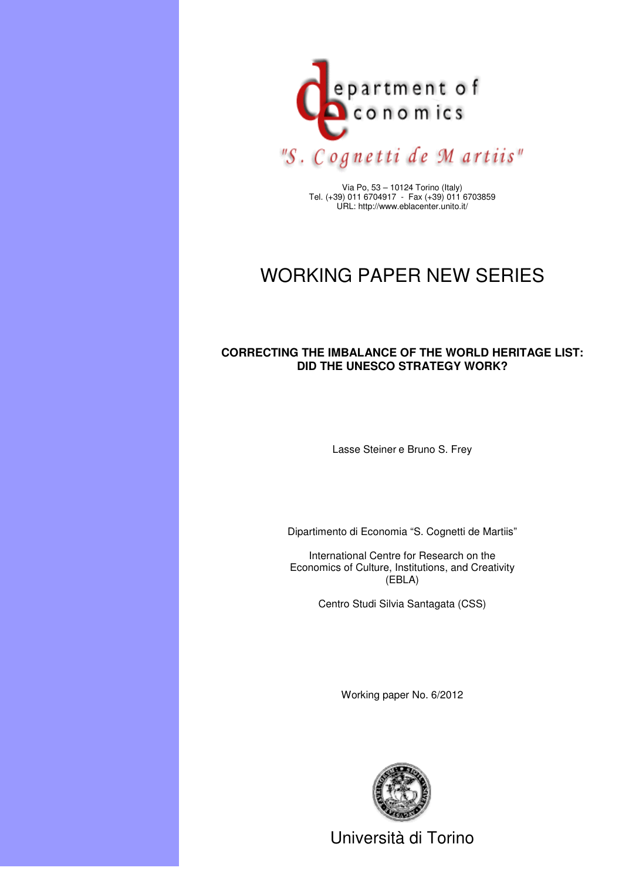

Via Po, 53 – 10124 Torino (Italy) Tel. (+39) 011 6704917 - Fax (+39) 011 6703859 URL: http://www.eblacenter.unito.it/

# WORKING PAPER NEW SERIES

### **CORRECTING THE IMBALANCE OF THE WORLD HERITAGE LIST: DID THE UNESCO STRATEGY WORK?**

Lasse Steiner e Bruno S. Frey

Dipartimento di Economia "S. Cognetti de Martiis"

International Centre for Research on the Economics of Culture, Institutions, and Creativity (EBLA)

Centro Studi Silvia Santagata (CSS)

Working paper No. 6/2012



Università di Torino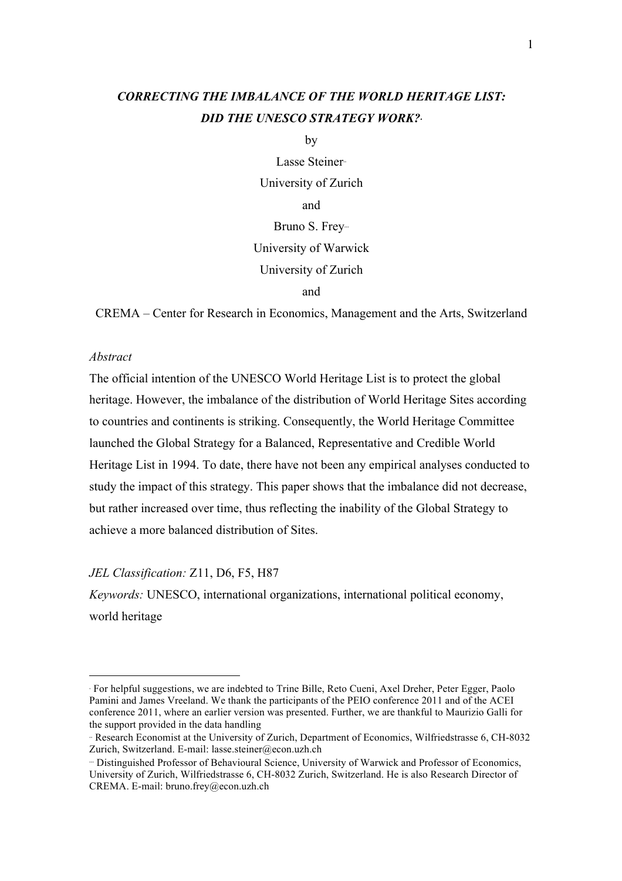## *CORRECTING THE IMBALANCE OF THE WORLD HERITAGE LIST: DID THE UNESCO STRATEGY WORK?*<sup>∗</sup>

by

Lasse Steiner∗∗ University of Zurich and Bruno S. Frey<sup>-</sup> University of Warwick University of Zurich

and

CREMA – Center for Research in Economics, Management and the Arts, Switzerland

#### *Abstract*

 $\overline{a}$ 

The official intention of the UNESCO World Heritage List is to protect the global heritage. However, the imbalance of the distribution of World Heritage Sites according to countries and continents is striking. Consequently, the World Heritage Committee launched the Global Strategy for a Balanced, Representative and Credible World Heritage List in 1994. To date, there have not been any empirical analyses conducted to study the impact of this strategy. This paper shows that the imbalance did not decrease, but rather increased over time, thus reflecting the inability of the Global Strategy to achieve a more balanced distribution of Sites.

*JEL Classification:* Z11, D6, F5, H87

*Keywords:* UNESCO, international organizations, international political economy, world heritage

<sup>∗</sup> For helpful suggestions, we are indebted to Trine Bille, Reto Cueni, Axel Dreher, Peter Egger, Paolo Pamini and James Vreeland. We thank the participants of the PEIO conference 2011 and of the ACEI conference 2011, where an earlier version was presented. Further, we are thankful to Maurizio Galli for the support provided in the data handling

<sup>∗∗</sup> Research Economist at the University of Zurich, Department of Economics, Wilfriedstrasse 6, CH-8032 Zurich, Switzerland. E-mail: lasse.steiner@econ.uzh.ch

<sup>∗∗∗</sup> Distinguished Professor of Behavioural Science, University of Warwick and Professor of Economics, University of Zurich, Wilfriedstrasse 6, CH-8032 Zurich, Switzerland. He is also Research Director of CREMA. E-mail: bruno.frey@econ.uzh.ch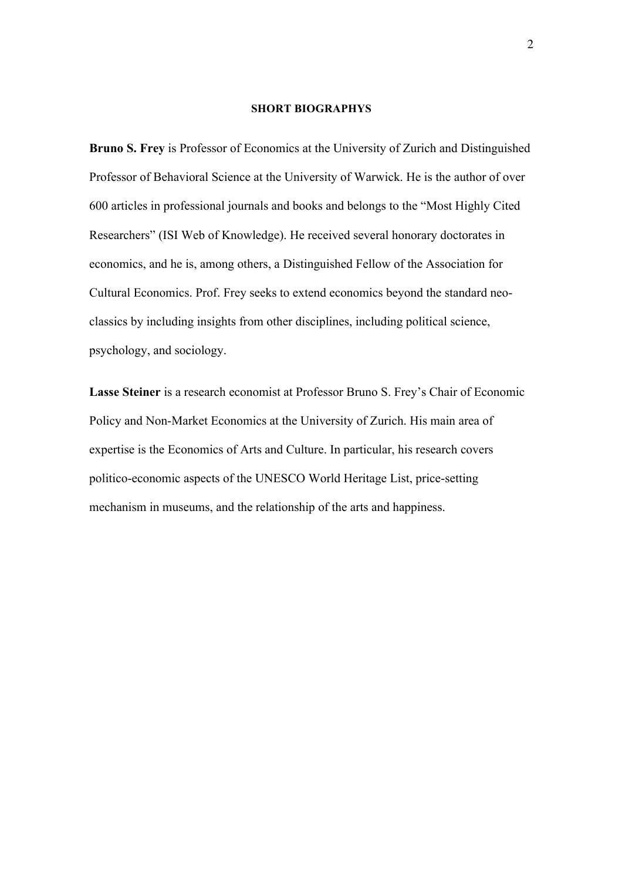#### **SHORT BIOGRAPHYS**

**Bruno S. Frey** is Professor of Economics at the University of Zurich and Distinguished Professor of Behavioral Science at the University of Warwick. He is the author of over 600 articles in professional journals and books and belongs to the "Most Highly Cited Researchers" (ISI Web of Knowledge). He received several honorary doctorates in economics, and he is, among others, a Distinguished Fellow of the Association for Cultural Economics. Prof. Frey seeks to extend economics beyond the standard neoclassics by including insights from other disciplines, including political science, psychology, and sociology.

**Lasse Steiner** is a research economist at Professor Bruno S. Frey's Chair of Economic Policy and Non-Market Economics at the University of Zurich. His main area of expertise is the Economics of Arts and Culture. In particular, his research covers politico-economic aspects of the UNESCO World Heritage List, price-setting mechanism in museums, and the relationship of the arts and happiness.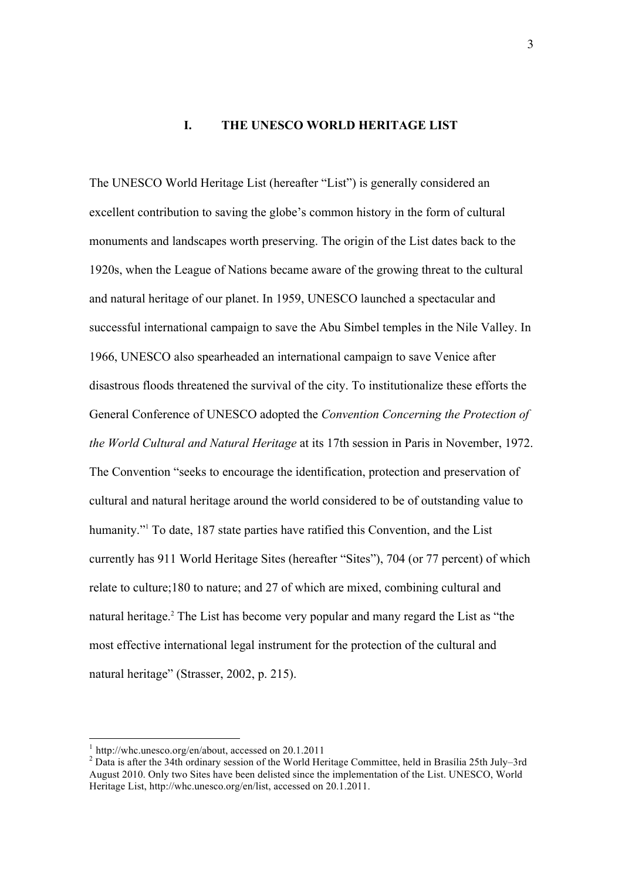#### **I. THE UNESCO WORLD HERITAGE LIST**

The UNESCO World Heritage List (hereafter "List") is generally considered an excellent contribution to saving the globe's common history in the form of cultural monuments and landscapes worth preserving. The origin of the List dates back to the 1920s, when the League of Nations became aware of the growing threat to the cultural and natural heritage of our planet. In 1959, UNESCO launched a spectacular and successful international campaign to save the Abu Simbel temples in the Nile Valley. In 1966, UNESCO also spearheaded an international campaign to save Venice after disastrous floods threatened the survival of the city. To institutionalize these efforts the General Conference of UNESCO adopted the *Convention Concerning the Protection of the World Cultural and Natural Heritage* at its 17th session in Paris in November, 1972. The Convention "seeks to encourage the identification, protection and preservation of cultural and natural heritage around the world considered to be of outstanding value to humanity."<sup>1</sup> To date, 187 state parties have ratified this Convention, and the List currently has 911 World Heritage Sites (hereafter "Sites"), 704 (or 77 percent) of which relate to culture;180 to nature; and 27 of which are mixed, combining cultural and natural heritage.2 The List has become very popular and many regard the List as "the most effective international legal instrument for the protection of the cultural and natural heritage" (Strasser, 2002, p. 215).

<sup>&</sup>lt;sup>1</sup> http://whc.unesco.org/en/about, accessed on 20.1.2011<br><sup>2</sup> Data is after the 34th ordinary session of the World Heritage Committee, held in Brasília 25th July–3rd August 2010. Only two Sites have been delisted since the implementation of the List. UNESCO, World Heritage List, http://whc.unesco.org/en/list, accessed on 20.1.2011.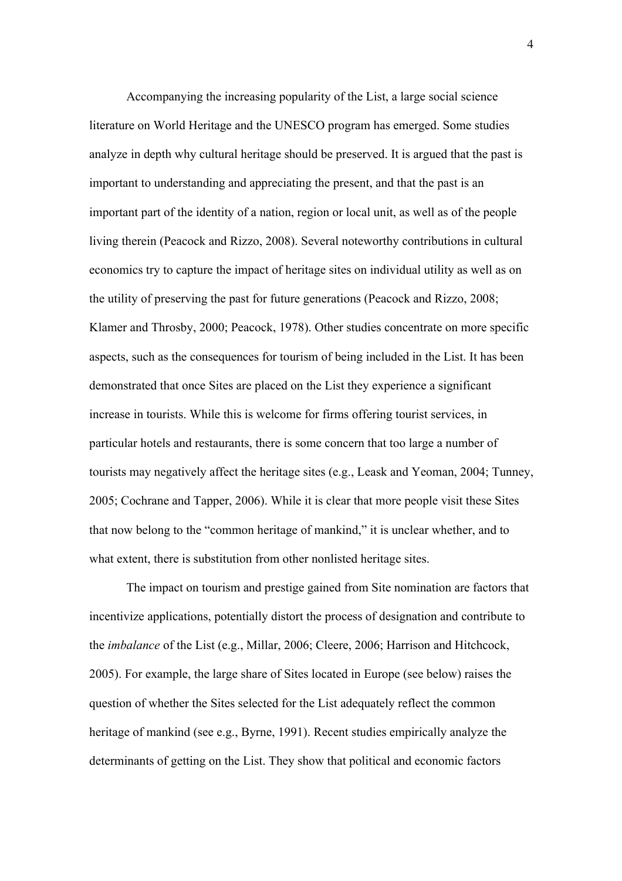Accompanying the increasing popularity of the List, a large social science literature on World Heritage and the UNESCO program has emerged. Some studies analyze in depth why cultural heritage should be preserved. It is argued that the past is important to understanding and appreciating the present, and that the past is an important part of the identity of a nation, region or local unit, as well as of the people living therein (Peacock and Rizzo, 2008). Several noteworthy contributions in cultural economics try to capture the impact of heritage sites on individual utility as well as on the utility of preserving the past for future generations (Peacock and Rizzo, 2008; Klamer and Throsby, 2000; Peacock, 1978). Other studies concentrate on more specific aspects, such as the consequences for tourism of being included in the List. It has been demonstrated that once Sites are placed on the List they experience a significant increase in tourists. While this is welcome for firms offering tourist services, in particular hotels and restaurants, there is some concern that too large a number of tourists may negatively affect the heritage sites (e.g., Leask and Yeoman, 2004; Tunney, 2005; Cochrane and Tapper, 2006). While it is clear that more people visit these Sites that now belong to the "common heritage of mankind," it is unclear whether, and to what extent, there is substitution from other nonlisted heritage sites.

The impact on tourism and prestige gained from Site nomination are factors that incentivize applications, potentially distort the process of designation and contribute to the *imbalance* of the List (e.g., Millar, 2006; Cleere, 2006; Harrison and Hitchcock, 2005). For example, the large share of Sites located in Europe (see below) raises the question of whether the Sites selected for the List adequately reflect the common heritage of mankind (see e.g., Byrne, 1991). Recent studies empirically analyze the determinants of getting on the List. They show that political and economic factors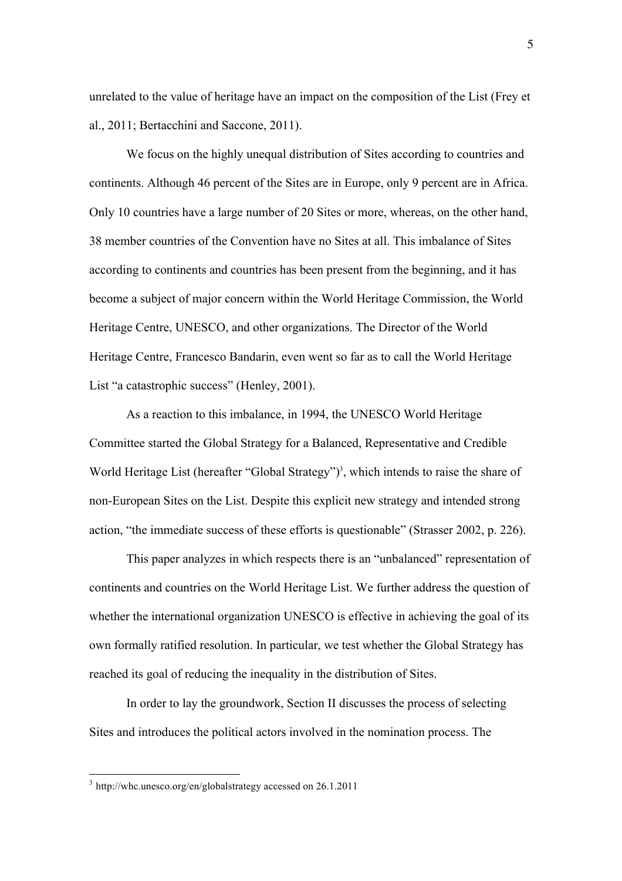unrelated to the value of heritage have an impact on the composition of the List (Frey et al., 2011; Bertacchini and Saccone, 2011).

We focus on the highly unequal distribution of Sites according to countries and continents. Although 46 percent of the Sites are in Europe, only 9 percent are in Africa. Only 10 countries have a large number of 20 Sites or more, whereas, on the other hand, 38 member countries of the Convention have no Sites at all. This imbalance of Sites according to continents and countries has been present from the beginning, and it has become a subject of major concern within the World Heritage Commission, the World Heritage Centre, UNESCO, and other organizations. The Director of the World Heritage Centre, Francesco Bandarin, even went so far as to call the World Heritage List "a catastrophic success" (Henley, 2001).

As a reaction to this imbalance, in 1994, the UNESCO World Heritage Committee started the Global Strategy for a Balanced, Representative and Credible World Heritage List (hereafter "Global Strategy")<sup>3</sup>, which intends to raise the share of non-European Sites on the List. Despite this explicit new strategy and intended strong action, "the immediate success of these efforts is questionable" (Strasser 2002, p. 226).

This paper analyzes in which respects there is an "unbalanced" representation of continents and countries on the World Heritage List. We further address the question of whether the international organization UNESCO is effective in achieving the goal of its own formally ratified resolution. In particular, we test whether the Global Strategy has reached its goal of reducing the inequality in the distribution of Sites.

In order to lay the groundwork, Section II discusses the process of selecting Sites and introduces the political actors involved in the nomination process. The

 <sup>3</sup> http://whc.unesco.org/en/globalstrategy accessed on 26.1.2011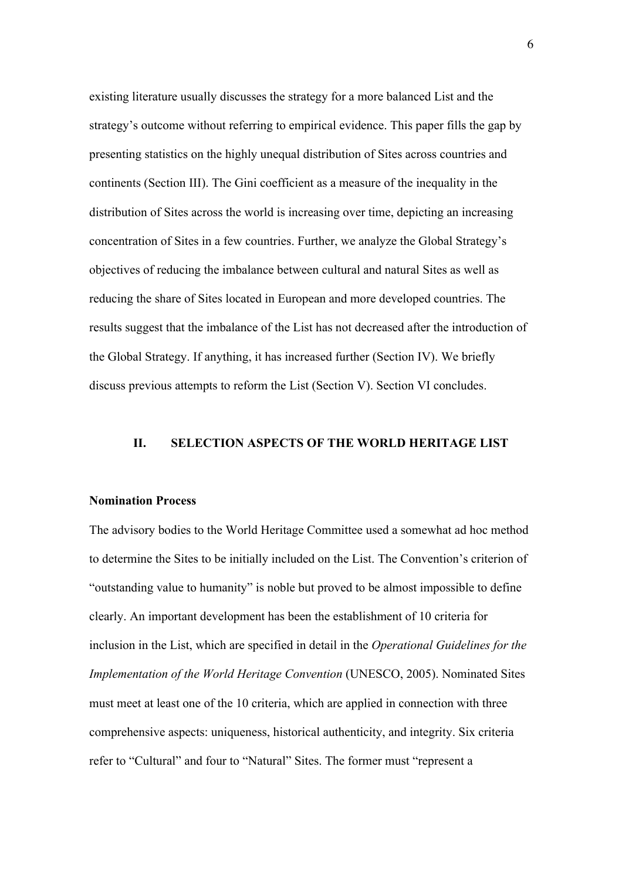existing literature usually discusses the strategy for a more balanced List and the strategy's outcome without referring to empirical evidence. This paper fills the gap by presenting statistics on the highly unequal distribution of Sites across countries and continents (Section III). The Gini coefficient as a measure of the inequality in the distribution of Sites across the world is increasing over time, depicting an increasing concentration of Sites in a few countries. Further, we analyze the Global Strategy's objectives of reducing the imbalance between cultural and natural Sites as well as reducing the share of Sites located in European and more developed countries. The results suggest that the imbalance of the List has not decreased after the introduction of the Global Strategy. If anything, it has increased further (Section IV). We briefly discuss previous attempts to reform the List (Section V). Section VI concludes.

#### **II. SELECTION ASPECTS OF THE WORLD HERITAGE LIST**

#### **Nomination Process**

The advisory bodies to the World Heritage Committee used a somewhat ad hoc method to determine the Sites to be initially included on the List. The Convention's criterion of "outstanding value to humanity" is noble but proved to be almost impossible to define clearly. An important development has been the establishment of 10 criteria for inclusion in the List, which are specified in detail in the *Operational Guidelines for the Implementation of the World Heritage Convention (UNESCO, 2005). Nominated Sites* must meet at least one of the 10 criteria, which are applied in connection with three comprehensive aspects: uniqueness, historical authenticity, and integrity. Six criteria refer to "Cultural" and four to "Natural" Sites. The former must "represent a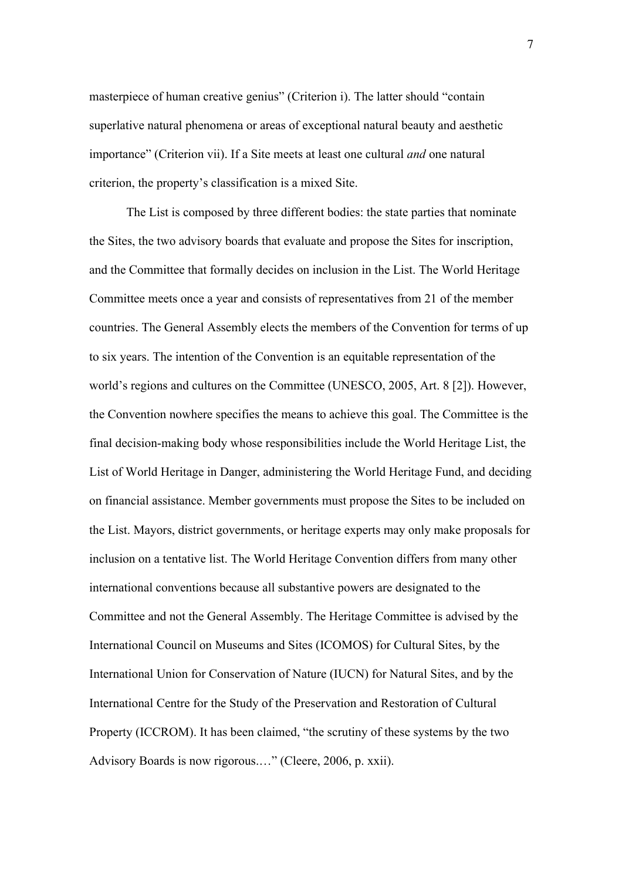masterpiece of human creative genius" (Criterion i). The latter should "contain superlative natural phenomena or areas of exceptional natural beauty and aesthetic importance" (Criterion vii). If a Site meets at least one cultural *and* one natural criterion, the property's classification is a mixed Site.

The List is composed by three different bodies: the state parties that nominate the Sites, the two advisory boards that evaluate and propose the Sites for inscription, and the Committee that formally decides on inclusion in the List. The World Heritage Committee meets once a year and consists of representatives from 21 of the member countries. The General Assembly elects the members of the Convention for terms of up to six years. The intention of the Convention is an equitable representation of the world's regions and cultures on the Committee (UNESCO, 2005, Art. 8 [2]). However, the Convention nowhere specifies the means to achieve this goal. The Committee is the final decision-making body whose responsibilities include the World Heritage List, the List of World Heritage in Danger, administering the World Heritage Fund, and deciding on financial assistance. Member governments must propose the Sites to be included on the List. Mayors, district governments, or heritage experts may only make proposals for inclusion on a tentative list. The World Heritage Convention differs from many other international conventions because all substantive powers are designated to the Committee and not the General Assembly. The Heritage Committee is advised by the International Council on Museums and Sites (ICOMOS) for Cultural Sites, by the International Union for Conservation of Nature (IUCN) for Natural Sites, and by the International Centre for the Study of the Preservation and Restoration of Cultural Property (ICCROM). It has been claimed, "the scrutiny of these systems by the two Advisory Boards is now rigorous.…" (Cleere, 2006, p. xxii).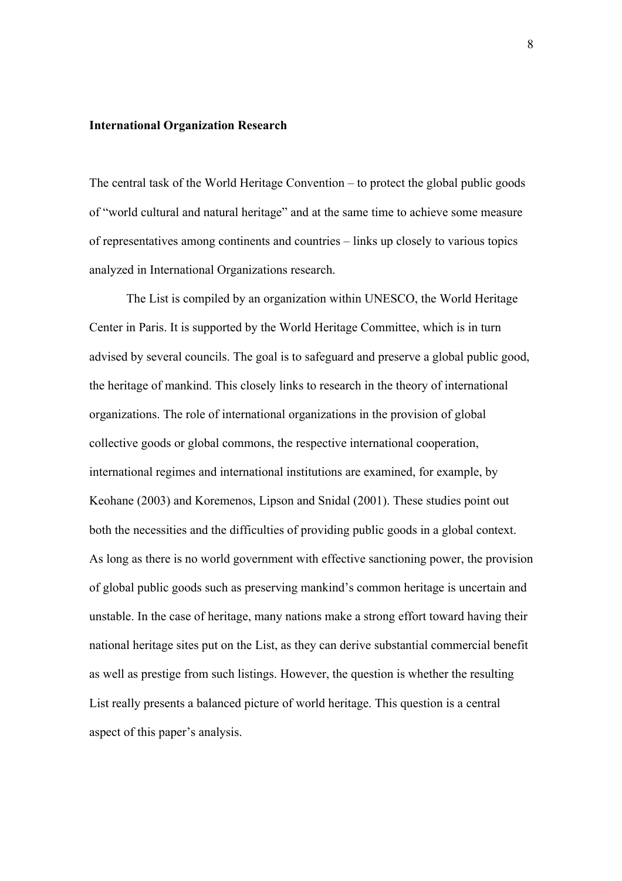#### **International Organization Research**

The central task of the World Heritage Convention – to protect the global public goods of "world cultural and natural heritage" and at the same time to achieve some measure of representatives among continents and countries – links up closely to various topics analyzed in International Organizations research.

The List is compiled by an organization within UNESCO, the World Heritage Center in Paris. It is supported by the World Heritage Committee, which is in turn advised by several councils. The goal is to safeguard and preserve a global public good, the heritage of mankind. This closely links to research in the theory of international organizations. The role of international organizations in the provision of global collective goods or global commons, the respective international cooperation, international regimes and international institutions are examined, for example, by Keohane (2003) and Koremenos, Lipson and Snidal (2001). These studies point out both the necessities and the difficulties of providing public goods in a global context. As long as there is no world government with effective sanctioning power, the provision of global public goods such as preserving mankind's common heritage is uncertain and unstable. In the case of heritage, many nations make a strong effort toward having their national heritage sites put on the List, as they can derive substantial commercial benefit as well as prestige from such listings. However, the question is whether the resulting List really presents a balanced picture of world heritage. This question is a central aspect of this paper's analysis.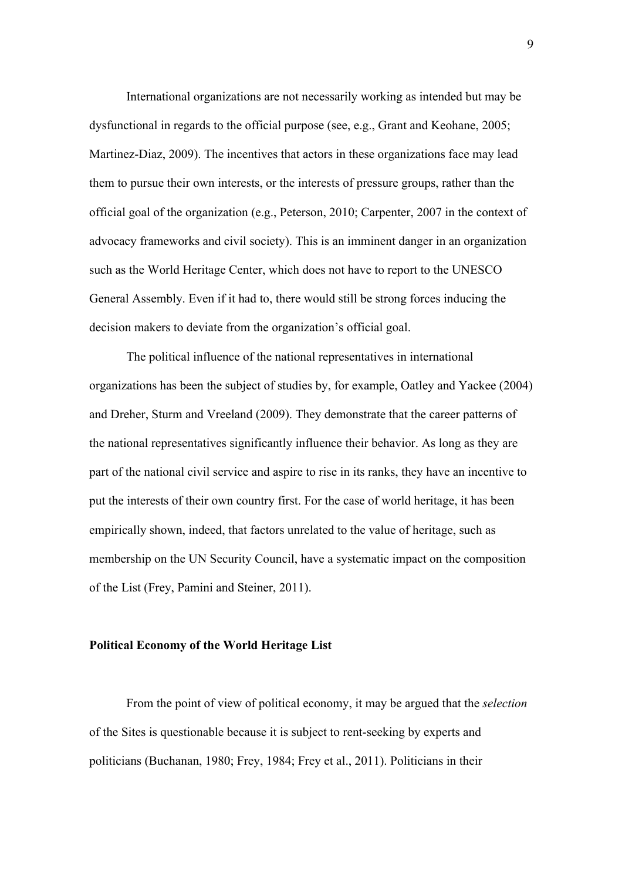International organizations are not necessarily working as intended but may be dysfunctional in regards to the official purpose (see, e.g., Grant and Keohane, 2005; Martinez-Diaz, 2009). The incentives that actors in these organizations face may lead them to pursue their own interests, or the interests of pressure groups, rather than the official goal of the organization (e.g., Peterson, 2010; Carpenter, 2007 in the context of advocacy frameworks and civil society). This is an imminent danger in an organization such as the World Heritage Center, which does not have to report to the UNESCO General Assembly. Even if it had to, there would still be strong forces inducing the decision makers to deviate from the organization's official goal.

The political influence of the national representatives in international organizations has been the subject of studies by, for example, Oatley and Yackee (2004) and Dreher, Sturm and Vreeland (2009). They demonstrate that the career patterns of the national representatives significantly influence their behavior. As long as they are part of the national civil service and aspire to rise in its ranks, they have an incentive to put the interests of their own country first. For the case of world heritage, it has been empirically shown, indeed, that factors unrelated to the value of heritage, such as membership on the UN Security Council, have a systematic impact on the composition of the List (Frey, Pamini and Steiner, 2011).

#### **Political Economy of the World Heritage List**

From the point of view of political economy, it may be argued that the *selection* of the Sites is questionable because it is subject to rent-seeking by experts and politicians (Buchanan, 1980; Frey, 1984; Frey et al., 2011). Politicians in their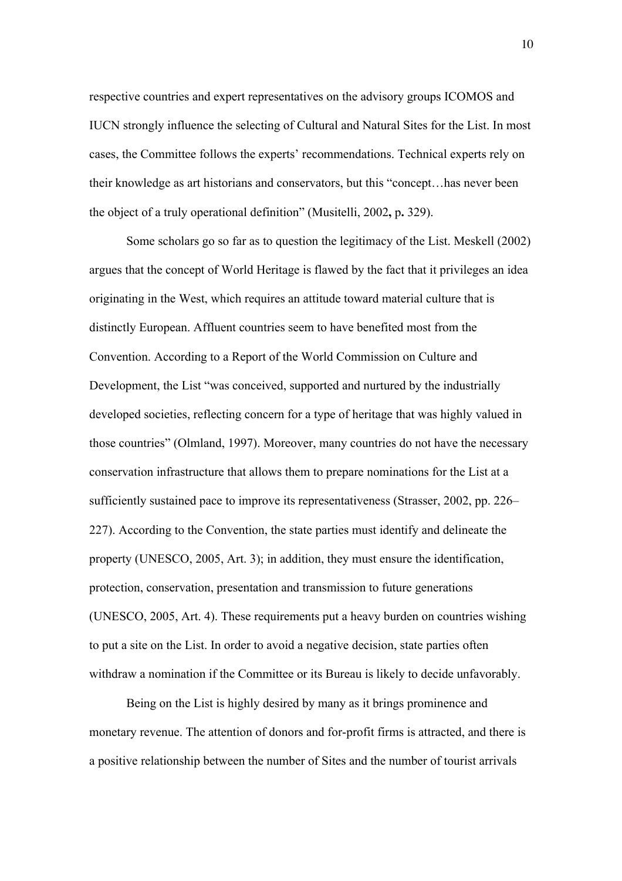respective countries and expert representatives on the advisory groups ICOMOS and IUCN strongly influence the selecting of Cultural and Natural Sites for the List. In most cases, the Committee follows the experts' recommendations. Technical experts rely on their knowledge as art historians and conservators, but this "concept…has never been the object of a truly operational definition" (Musitelli, 2002**,** p**.** 329).

Some scholars go so far as to question the legitimacy of the List. Meskell (2002) argues that the concept of World Heritage is flawed by the fact that it privileges an idea originating in the West, which requires an attitude toward material culture that is distinctly European. Affluent countries seem to have benefited most from the Convention. According to a Report of the World Commission on Culture and Development, the List "was conceived, supported and nurtured by the industrially developed societies, reflecting concern for a type of heritage that was highly valued in those countries" (Olmland, 1997). Moreover, many countries do not have the necessary conservation infrastructure that allows them to prepare nominations for the List at a sufficiently sustained pace to improve its representativeness (Strasser, 2002, pp. 226– 227). According to the Convention, the state parties must identify and delineate the property (UNESCO, 2005, Art. 3); in addition, they must ensure the identification, protection, conservation, presentation and transmission to future generations (UNESCO, 2005, Art. 4). These requirements put a heavy burden on countries wishing to put a site on the List. In order to avoid a negative decision, state parties often withdraw a nomination if the Committee or its Bureau is likely to decide unfavorably.

Being on the List is highly desired by many as it brings prominence and monetary revenue. The attention of donors and for-profit firms is attracted, and there is a positive relationship between the number of Sites and the number of tourist arrivals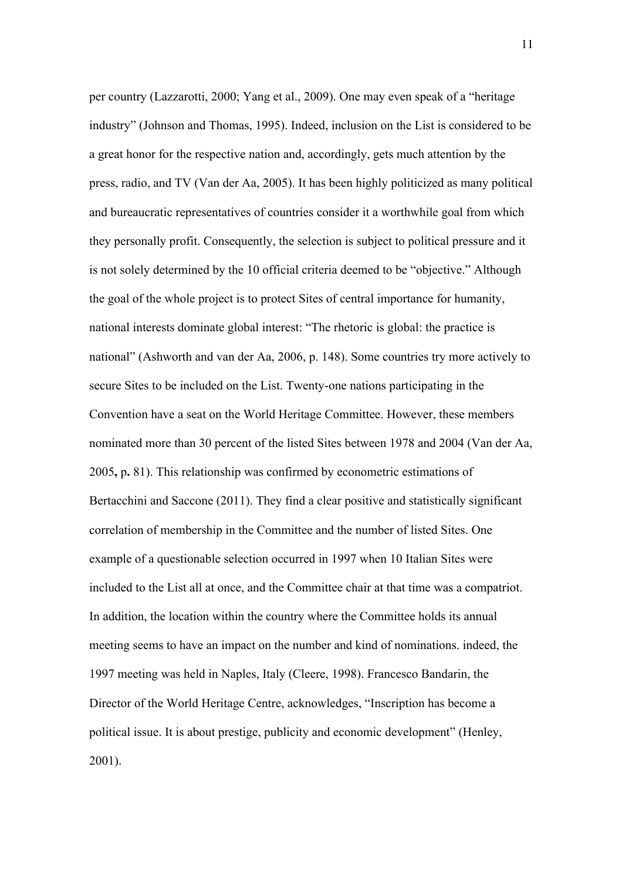per country (Lazzarotti, 2000; Yang et al., 2009). One may even speak of a "heritage industry" (Johnson and Thomas, 1995). Indeed, inclusion on the List is considered to be a great honor for the respective nation and, accordingly, gets much attention by the press, radio, and TV (Van der Aa, 2005). It has been highly politicized as many political and bureaucratic representatives of countries consider it a worthwhile goal from which they personally profit. Consequently, the selection is subject to political pressure and it is not solely determined by the 10 official criteria deemed to be "objective." Although the goal of the whole project is to protect Sites of central importance for humanity, national interests dominate global interest: "The rhetoric is global: the practice is national" (Ashworth and van der Aa, 2006, p. 148). Some countries try more actively to secure Sites to be included on the List. Twenty-one nations participating in the Convention have a seat on the World Heritage Committee. However, these members nominated more than 30 percent of the listed Sites between 1978 and 2004 (Van der Aa, 2005**,** p**.** 81). This relationship was confirmed by econometric estimations of Bertacchini and Saccone (2011). They find a clear positive and statistically significant correlation of membership in the Committee and the number of listed Sites. One example of a questionable selection occurred in 1997 when 10 Italian Sites were included to the List all at once, and the Committee chair at that time was a compatriot. In addition, the location within the country where the Committee holds its annual meeting seems to have an impact on the number and kind of nominations. indeed, the 1997 meeting was held in Naples, Italy (Cleere, 1998). Francesco Bandarin, the Director of the World Heritage Centre, acknowledges, "Inscription has become a political issue. It is about prestige, publicity and economic development" (Henley, 2001).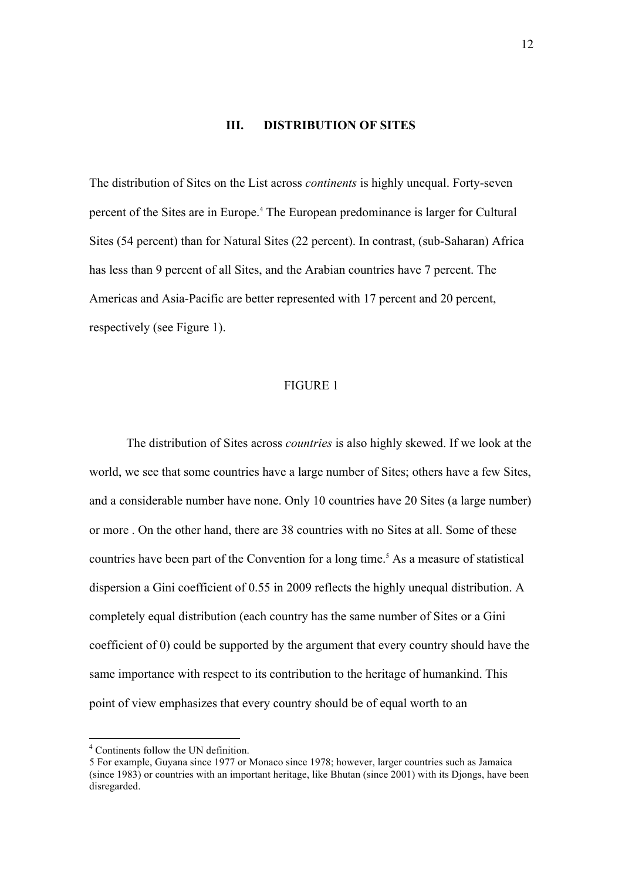#### **III. DISTRIBUTION OF SITES**

The distribution of Sites on the List across *continents* is highly unequal. Forty-seven percent of the Sites are in Europe.4 The European predominance is larger for Cultural Sites (54 percent) than for Natural Sites (22 percent). In contrast, (sub-Saharan) Africa has less than 9 percent of all Sites, and the Arabian countries have 7 percent. The Americas and Asia-Pacific are better represented with 17 percent and 20 percent, respectively (see Figure 1).

#### FIGURE 1

The distribution of Sites across *countries* is also highly skewed. If we look at the world, we see that some countries have a large number of Sites; others have a few Sites, and a considerable number have none. Only 10 countries have 20 Sites (a large number) or more . On the other hand, there are 38 countries with no Sites at all. Some of these countries have been part of the Convention for a long time.<sup>5</sup> As a measure of statistical dispersion a Gini coefficient of 0.55 in 2009 reflects the highly unequal distribution. A completely equal distribution (each country has the same number of Sites or a Gini coefficient of 0) could be supported by the argument that every country should have the same importance with respect to its contribution to the heritage of humankind. This point of view emphasizes that every country should be of equal worth to an

 <sup>4</sup> Continents follow the UN definition.

<sup>5</sup> For example, Guyana since 1977 or Monaco since 1978; however, larger countries such as Jamaica (since 1983) or countries with an important heritage, like Bhutan (since 2001) with its Djongs, have been disregarded.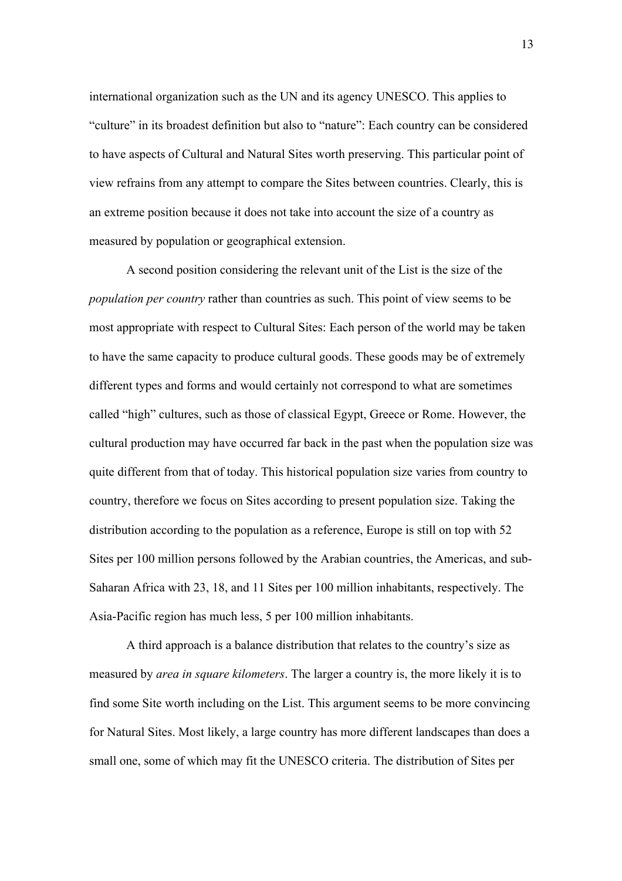international organization such as the UN and its agency UNESCO. This applies to "culture" in its broadest definition but also to "nature": Each country can be considered to have aspects of Cultural and Natural Sites worth preserving. This particular point of view refrains from any attempt to compare the Sites between countries. Clearly, this is an extreme position because it does not take into account the size of a country as measured by population or geographical extension.

A second position considering the relevant unit of the List is the size of the *population per country* rather than countries as such. This point of view seems to be most appropriate with respect to Cultural Sites: Each person of the world may be taken to have the same capacity to produce cultural goods. These goods may be of extremely different types and forms and would certainly not correspond to what are sometimes called "high" cultures, such as those of classical Egypt, Greece or Rome. However, the cultural production may have occurred far back in the past when the population size was quite different from that of today. This historical population size varies from country to country, therefore we focus on Sites according to present population size. Taking the distribution according to the population as a reference, Europe is still on top with 52 Sites per 100 million persons followed by the Arabian countries, the Americas, and sub-Saharan Africa with 23, 18, and 11 Sites per 100 million inhabitants, respectively. The Asia-Pacific region has much less, 5 per 100 million inhabitants.

A third approach is a balance distribution that relates to the country's size as measured by *area in square kilometers*. The larger a country is, the more likely it is to find some Site worth including on the List. This argument seems to be more convincing for Natural Sites. Most likely, a large country has more different landscapes than does a small one, some of which may fit the UNESCO criteria. The distribution of Sites per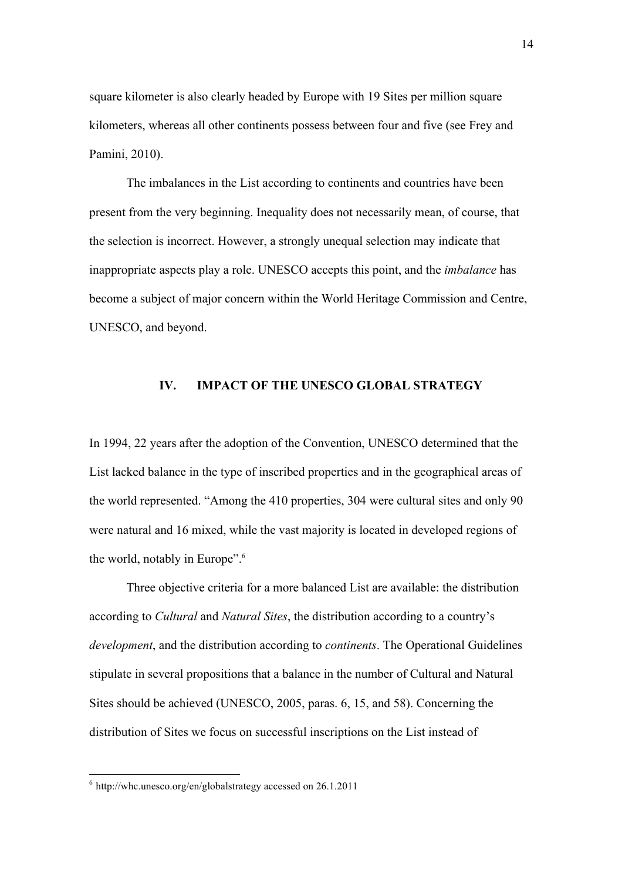square kilometer is also clearly headed by Europe with 19 Sites per million square kilometers, whereas all other continents possess between four and five (see Frey and Pamini, 2010).

The imbalances in the List according to continents and countries have been present from the very beginning. Inequality does not necessarily mean, of course, that the selection is incorrect. However, a strongly unequal selection may indicate that inappropriate aspects play a role. UNESCO accepts this point, and the *imbalance* has become a subject of major concern within the World Heritage Commission and Centre, UNESCO, and beyond.

#### **IV. IMPACT OF THE UNESCO GLOBAL STRATEGY**

In 1994, 22 years after the adoption of the Convention, UNESCO determined that the List lacked balance in the type of inscribed properties and in the geographical areas of the world represented. "Among the 410 properties, 304 were cultural sites and only 90 were natural and 16 mixed, while the vast majority is located in developed regions of the world, notably in Europe". 6

Three objective criteria for a more balanced List are available: the distribution according to *Cultural* and *Natural Sites*, the distribution according to a country's *development*, and the distribution according to *continents*. The Operational Guidelines stipulate in several propositions that a balance in the number of Cultural and Natural Sites should be achieved (UNESCO, 2005, paras. 6, 15, and 58). Concerning the distribution of Sites we focus on successful inscriptions on the List instead of

 <sup>6</sup> http://whc.unesco.org/en/globalstrategy accessed on 26.1.2011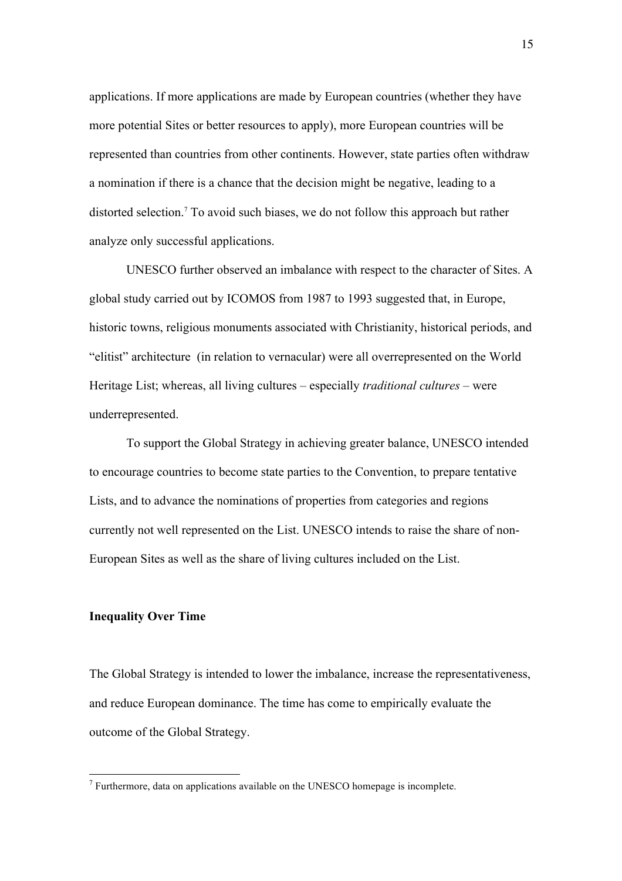applications. If more applications are made by European countries (whether they have more potential Sites or better resources to apply), more European countries will be represented than countries from other continents. However, state parties often withdraw a nomination if there is a chance that the decision might be negative, leading to a distorted selection.7 To avoid such biases, we do not follow this approach but rather analyze only successful applications.

UNESCO further observed an imbalance with respect to the character of Sites. A global study carried out by ICOMOS from 1987 to 1993 suggested that, in Europe, historic towns, religious monuments associated with Christianity, historical periods, and "elitist" architecture (in relation to vernacular) were all overrepresented on the World Heritage List; whereas, all living cultures – especially *traditional cultures* – were underrepresented.

To support the Global Strategy in achieving greater balance, UNESCO intended to encourage countries to become state parties to the Convention, to prepare tentative Lists, and to advance the nominations of properties from categories and regions currently not well represented on the List. UNESCO intends to raise the share of non-European Sites as well as the share of living cultures included on the List.

#### **Inequality Over Time**

The Global Strategy is intended to lower the imbalance, increase the representativeness, and reduce European dominance. The time has come to empirically evaluate the outcome of the Global Strategy.

 $7$  Furthermore, data on applications available on the UNESCO homepage is incomplete.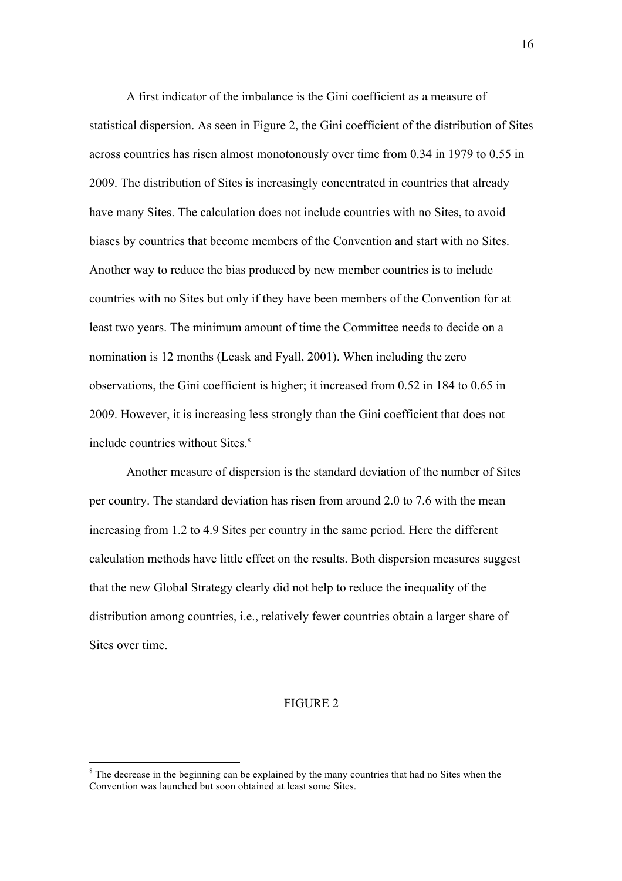A first indicator of the imbalance is the Gini coefficient as a measure of statistical dispersion. As seen in Figure 2, the Gini coefficient of the distribution of Sites across countries has risen almost monotonously over time from 0.34 in 1979 to 0.55 in 2009. The distribution of Sites is increasingly concentrated in countries that already have many Sites. The calculation does not include countries with no Sites, to avoid biases by countries that become members of the Convention and start with no Sites. Another way to reduce the bias produced by new member countries is to include countries with no Sites but only if they have been members of the Convention for at least two years. The minimum amount of time the Committee needs to decide on a nomination is 12 months (Leask and Fyall, 2001). When including the zero observations, the Gini coefficient is higher; it increased from 0.52 in 184 to 0.65 in 2009. However, it is increasing less strongly than the Gini coefficient that does not include countries without Sites.<sup>8</sup>

Another measure of dispersion is the standard deviation of the number of Sites per country. The standard deviation has risen from around 2.0 to 7.6 with the mean increasing from 1.2 to 4.9 Sites per country in the same period. Here the different calculation methods have little effect on the results. Both dispersion measures suggest that the new Global Strategy clearly did not help to reduce the inequality of the distribution among countries, i.e., relatively fewer countries obtain a larger share of Sites over time.

#### FIGURE 2

 $8$  The decrease in the beginning can be explained by the many countries that had no Sites when the Convention was launched but soon obtained at least some Sites.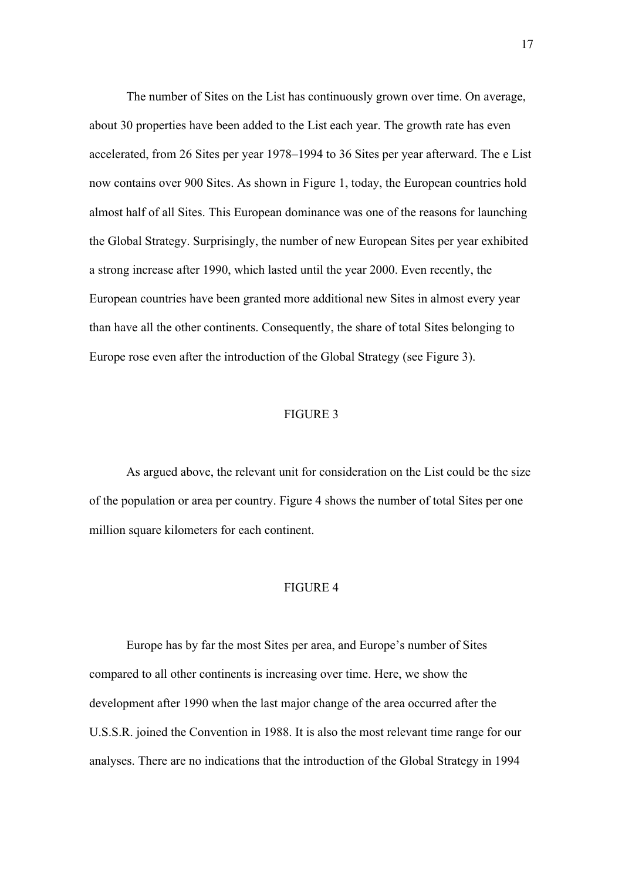The number of Sites on the List has continuously grown over time. On average, about 30 properties have been added to the List each year. The growth rate has even accelerated, from 26 Sites per year 1978–1994 to 36 Sites per year afterward. The e List now contains over 900 Sites. As shown in Figure 1, today, the European countries hold almost half of all Sites. This European dominance was one of the reasons for launching the Global Strategy. Surprisingly, the number of new European Sites per year exhibited a strong increase after 1990, which lasted until the year 2000. Even recently, the European countries have been granted more additional new Sites in almost every year than have all the other continents. Consequently, the share of total Sites belonging to Europe rose even after the introduction of the Global Strategy (see Figure 3).

#### FIGURE 3

As argued above, the relevant unit for consideration on the List could be the size of the population or area per country. Figure 4 shows the number of total Sites per one million square kilometers for each continent.

#### FIGURE 4

Europe has by far the most Sites per area, and Europe's number of Sites compared to all other continents is increasing over time. Here, we show the development after 1990 when the last major change of the area occurred after the U.S.S.R. joined the Convention in 1988. It is also the most relevant time range for our analyses. There are no indications that the introduction of the Global Strategy in 1994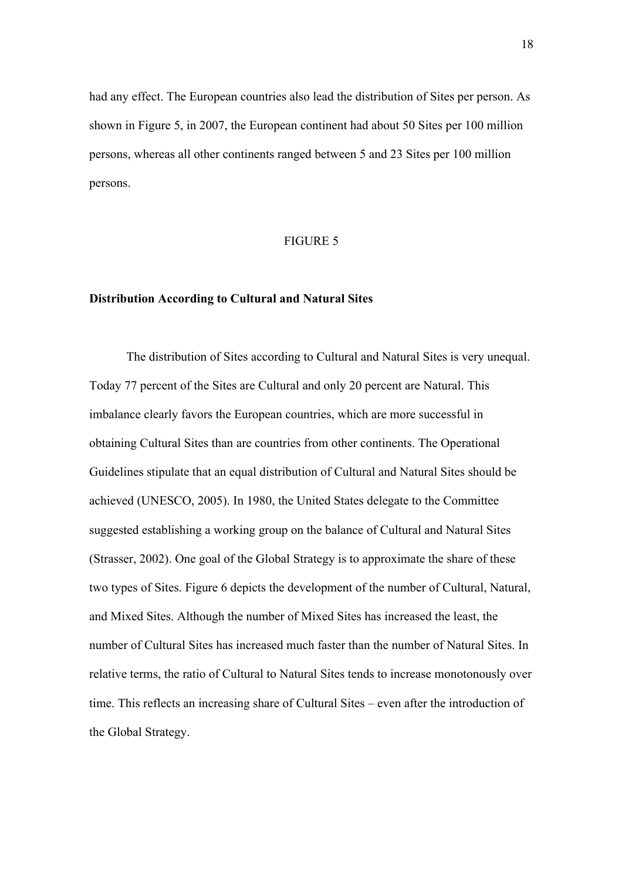had any effect. The European countries also lead the distribution of Sites per person. As shown in Figure 5, in 2007, the European continent had about 50 Sites per 100 million persons, whereas all other continents ranged between 5 and 23 Sites per 100 million persons.

#### FIGURE 5

#### **Distribution According to Cultural and Natural Sites**

The distribution of Sites according to Cultural and Natural Sites is very unequal. Today 77 percent of the Sites are Cultural and only 20 percent are Natural. This imbalance clearly favors the European countries, which are more successful in obtaining Cultural Sites than are countries from other continents. The Operational Guidelines stipulate that an equal distribution of Cultural and Natural Sites should be achieved (UNESCO, 2005). In 1980, the United States delegate to the Committee suggested establishing a working group on the balance of Cultural and Natural Sites (Strasser, 2002). One goal of the Global Strategy is to approximate the share of these two types of Sites. Figure 6 depicts the development of the number of Cultural, Natural, and Mixed Sites. Although the number of Mixed Sites has increased the least, the number of Cultural Sites has increased much faster than the number of Natural Sites. In relative terms, the ratio of Cultural to Natural Sites tends to increase monotonously over time. This reflects an increasing share of Cultural Sites – even after the introduction of the Global Strategy.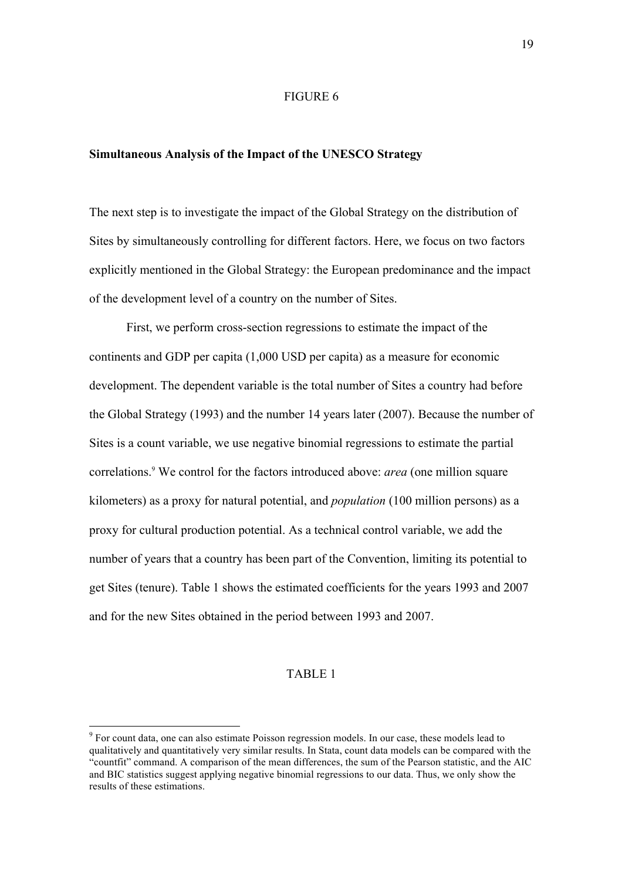#### FIGURE 6

#### **Simultaneous Analysis of the Impact of the UNESCO Strategy**

The next step is to investigate the impact of the Global Strategy on the distribution of Sites by simultaneously controlling for different factors. Here, we focus on two factors explicitly mentioned in the Global Strategy: the European predominance and the impact of the development level of a country on the number of Sites.

First, we perform cross-section regressions to estimate the impact of the continents and GDP per capita (1,000 USD per capita) as a measure for economic development. The dependent variable is the total number of Sites a country had before the Global Strategy (1993) and the number 14 years later (2007). Because the number of Sites is a count variable, we use negative binomial regressions to estimate the partial correlations.9 We control for the factors introduced above: *area* (one million square kilometers) as a proxy for natural potential, and *population* (100 million persons) as a proxy for cultural production potential. As a technical control variable, we add the number of years that a country has been part of the Convention, limiting its potential to get Sites (tenure). Table 1 shows the estimated coefficients for the years 1993 and 2007 and for the new Sites obtained in the period between 1993 and 2007.

#### TABLE 1

<sup>&</sup>lt;sup>9</sup> For count data, one can also estimate Poisson regression models. In our case, these models lead to qualitatively and quantitatively very similar results. In Stata, count data models can be compared with the "countfit" command. A comparison of the mean differences, the sum of the Pearson statistic, and the AIC and BIC statistics suggest applying negative binomial regressions to our data. Thus, we only show the results of these estimations.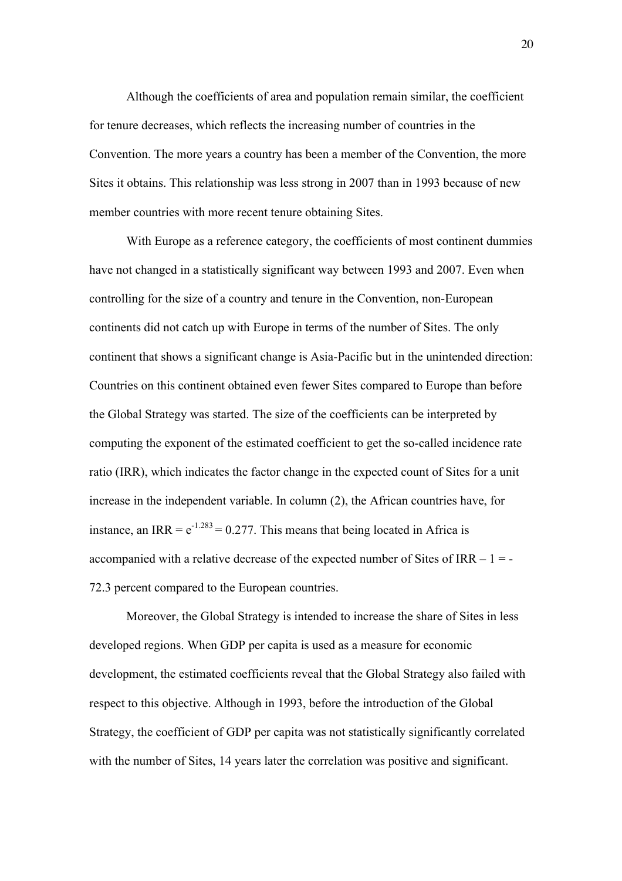Although the coefficients of area and population remain similar, the coefficient for tenure decreases, which reflects the increasing number of countries in the Convention. The more years a country has been a member of the Convention, the more Sites it obtains. This relationship was less strong in 2007 than in 1993 because of new member countries with more recent tenure obtaining Sites.

With Europe as a reference category, the coefficients of most continent dummies have not changed in a statistically significant way between 1993 and 2007. Even when controlling for the size of a country and tenure in the Convention, non-European continents did not catch up with Europe in terms of the number of Sites. The only continent that shows a significant change is Asia-Pacific but in the unintended direction: Countries on this continent obtained even fewer Sites compared to Europe than before the Global Strategy was started. The size of the coefficients can be interpreted by computing the exponent of the estimated coefficient to get the so-called incidence rate ratio (IRR), which indicates the factor change in the expected count of Sites for a unit increase in the independent variable. In column (2), the African countries have, for instance, an IRR =  $e^{-1.283}$  = 0.277. This means that being located in Africa is accompanied with a relative decrease of the expected number of Sites of IRR  $-1 = -$ 72.3 percent compared to the European countries.

Moreover, the Global Strategy is intended to increase the share of Sites in less developed regions. When GDP per capita is used as a measure for economic development, the estimated coefficients reveal that the Global Strategy also failed with respect to this objective. Although in 1993, before the introduction of the Global Strategy, the coefficient of GDP per capita was not statistically significantly correlated with the number of Sites, 14 years later the correlation was positive and significant.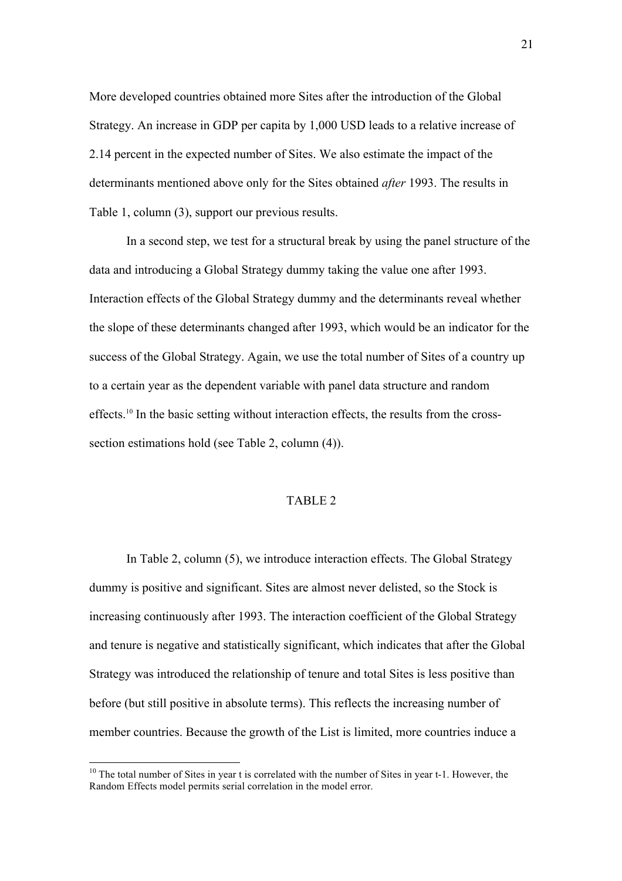More developed countries obtained more Sites after the introduction of the Global Strategy. An increase in GDP per capita by 1,000 USD leads to a relative increase of 2.14 percent in the expected number of Sites. We also estimate the impact of the determinants mentioned above only for the Sites obtained *after* 1993. The results in Table 1, column (3), support our previous results.

In a second step, we test for a structural break by using the panel structure of the data and introducing a Global Strategy dummy taking the value one after 1993. Interaction effects of the Global Strategy dummy and the determinants reveal whether the slope of these determinants changed after 1993, which would be an indicator for the success of the Global Strategy. Again, we use the total number of Sites of a country up to a certain year as the dependent variable with panel data structure and random effects.<sup>10</sup> In the basic setting without interaction effects, the results from the crosssection estimations hold (see Table 2, column (4)).

#### TABLE 2

In Table 2, column (5), we introduce interaction effects. The Global Strategy dummy is positive and significant. Sites are almost never delisted, so the Stock is increasing continuously after 1993. The interaction coefficient of the Global Strategy and tenure is negative and statistically significant, which indicates that after the Global Strategy was introduced the relationship of tenure and total Sites is less positive than before (but still positive in absolute terms). This reflects the increasing number of member countries. Because the growth of the List is limited, more countries induce a

 $10$  The total number of Sites in year t is correlated with the number of Sites in year t-1. However, the Random Effects model permits serial correlation in the model error.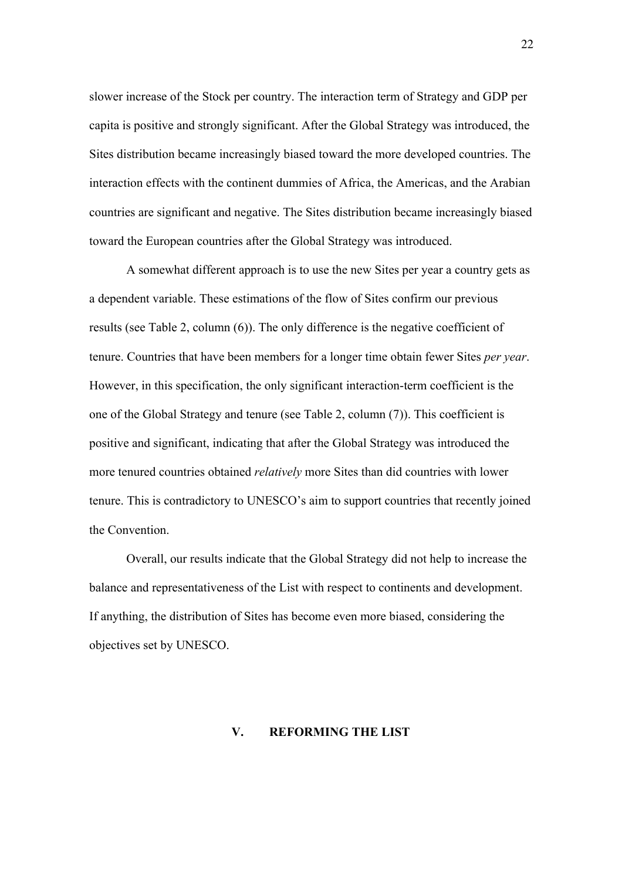slower increase of the Stock per country. The interaction term of Strategy and GDP per capita is positive and strongly significant. After the Global Strategy was introduced, the Sites distribution became increasingly biased toward the more developed countries. The interaction effects with the continent dummies of Africa, the Americas, and the Arabian countries are significant and negative. The Sites distribution became increasingly biased toward the European countries after the Global Strategy was introduced.

A somewhat different approach is to use the new Sites per year a country gets as a dependent variable. These estimations of the flow of Sites confirm our previous results (see Table 2, column (6)). The only difference is the negative coefficient of tenure. Countries that have been members for a longer time obtain fewer Sites *per year*. However, in this specification, the only significant interaction-term coefficient is the one of the Global Strategy and tenure (see Table 2, column (7)). This coefficient is positive and significant, indicating that after the Global Strategy was introduced the more tenured countries obtained *relatively* more Sites than did countries with lower tenure. This is contradictory to UNESCO's aim to support countries that recently joined the Convention.

Overall, our results indicate that the Global Strategy did not help to increase the balance and representativeness of the List with respect to continents and development. If anything, the distribution of Sites has become even more biased, considering the objectives set by UNESCO.

#### **V. REFORMING THE LIST**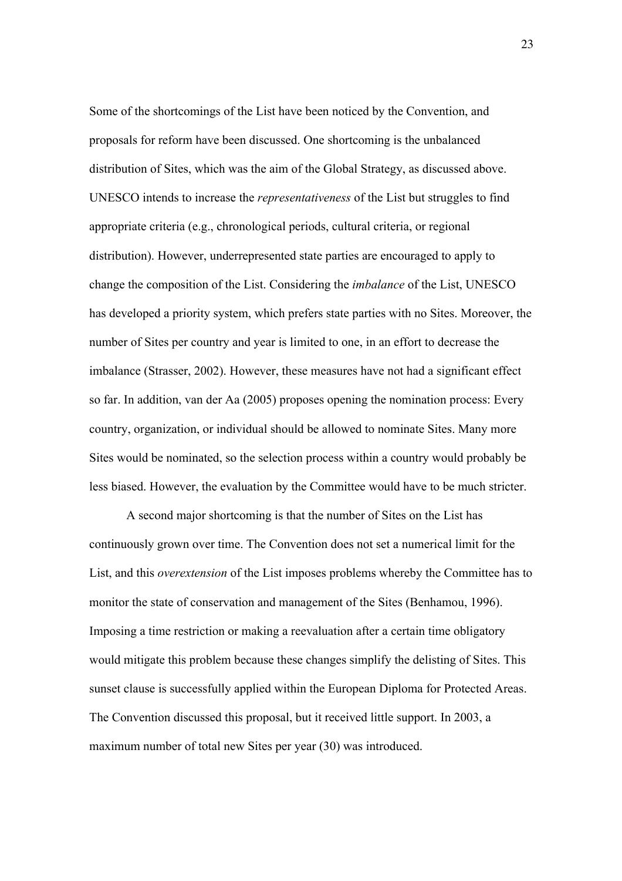Some of the shortcomings of the List have been noticed by the Convention, and proposals for reform have been discussed. One shortcoming is the unbalanced distribution of Sites, which was the aim of the Global Strategy, as discussed above. UNESCO intends to increase the *representativeness* of the List but struggles to find appropriate criteria (e.g., chronological periods, cultural criteria, or regional distribution). However, underrepresented state parties are encouraged to apply to change the composition of the List. Considering the *imbalance* of the List, UNESCO has developed a priority system, which prefers state parties with no Sites. Moreover, the number of Sites per country and year is limited to one, in an effort to decrease the imbalance (Strasser, 2002). However, these measures have not had a significant effect so far. In addition, van der Aa (2005) proposes opening the nomination process: Every country, organization, or individual should be allowed to nominate Sites. Many more Sites would be nominated, so the selection process within a country would probably be less biased. However, the evaluation by the Committee would have to be much stricter.

A second major shortcoming is that the number of Sites on the List has continuously grown over time. The Convention does not set a numerical limit for the List, and this *overextension* of the List imposes problems whereby the Committee has to monitor the state of conservation and management of the Sites (Benhamou, 1996). Imposing a time restriction or making a reevaluation after a certain time obligatory would mitigate this problem because these changes simplify the delisting of Sites. This sunset clause is successfully applied within the European Diploma for Protected Areas. The Convention discussed this proposal, but it received little support. In 2003, a maximum number of total new Sites per year (30) was introduced.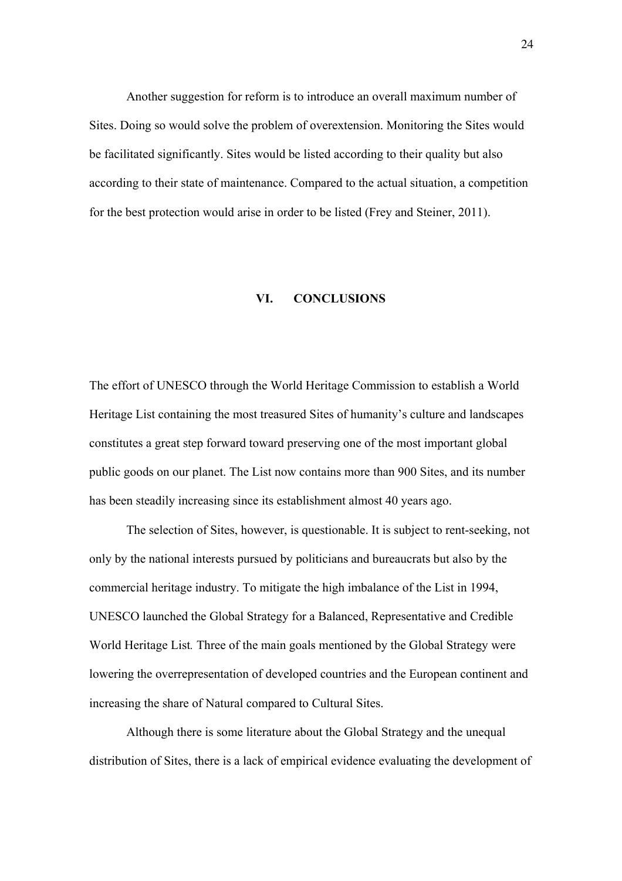Another suggestion for reform is to introduce an overall maximum number of Sites. Doing so would solve the problem of overextension. Monitoring the Sites would be facilitated significantly. Sites would be listed according to their quality but also according to their state of maintenance. Compared to the actual situation, a competition for the best protection would arise in order to be listed (Frey and Steiner, 2011).

#### **VI. CONCLUSIONS**

The effort of UNESCO through the World Heritage Commission to establish a World Heritage List containing the most treasured Sites of humanity's culture and landscapes constitutes a great step forward toward preserving one of the most important global public goods on our planet. The List now contains more than 900 Sites, and its number has been steadily increasing since its establishment almost 40 years ago.

The selection of Sites, however, is questionable. It is subject to rent-seeking, not only by the national interests pursued by politicians and bureaucrats but also by the commercial heritage industry. To mitigate the high imbalance of the List in 1994, UNESCO launched the Global Strategy for a Balanced, Representative and Credible World Heritage List*.* Three of the main goals mentioned by the Global Strategy were lowering the overrepresentation of developed countries and the European continent and increasing the share of Natural compared to Cultural Sites.

Although there is some literature about the Global Strategy and the unequal distribution of Sites, there is a lack of empirical evidence evaluating the development of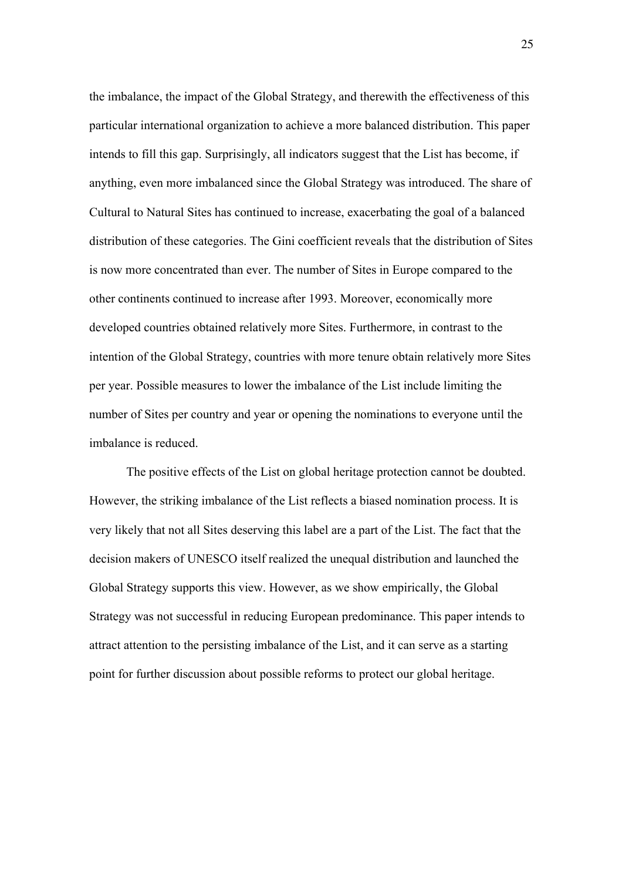the imbalance, the impact of the Global Strategy, and therewith the effectiveness of this particular international organization to achieve a more balanced distribution. This paper intends to fill this gap. Surprisingly, all indicators suggest that the List has become, if anything, even more imbalanced since the Global Strategy was introduced. The share of Cultural to Natural Sites has continued to increase, exacerbating the goal of a balanced distribution of these categories. The Gini coefficient reveals that the distribution of Sites is now more concentrated than ever. The number of Sites in Europe compared to the other continents continued to increase after 1993. Moreover, economically more developed countries obtained relatively more Sites. Furthermore, in contrast to the intention of the Global Strategy, countries with more tenure obtain relatively more Sites per year. Possible measures to lower the imbalance of the List include limiting the number of Sites per country and year or opening the nominations to everyone until the imbalance is reduced.

The positive effects of the List on global heritage protection cannot be doubted. However, the striking imbalance of the List reflects a biased nomination process. It is very likely that not all Sites deserving this label are a part of the List. The fact that the decision makers of UNESCO itself realized the unequal distribution and launched the Global Strategy supports this view. However, as we show empirically, the Global Strategy was not successful in reducing European predominance. This paper intends to attract attention to the persisting imbalance of the List, and it can serve as a starting point for further discussion about possible reforms to protect our global heritage.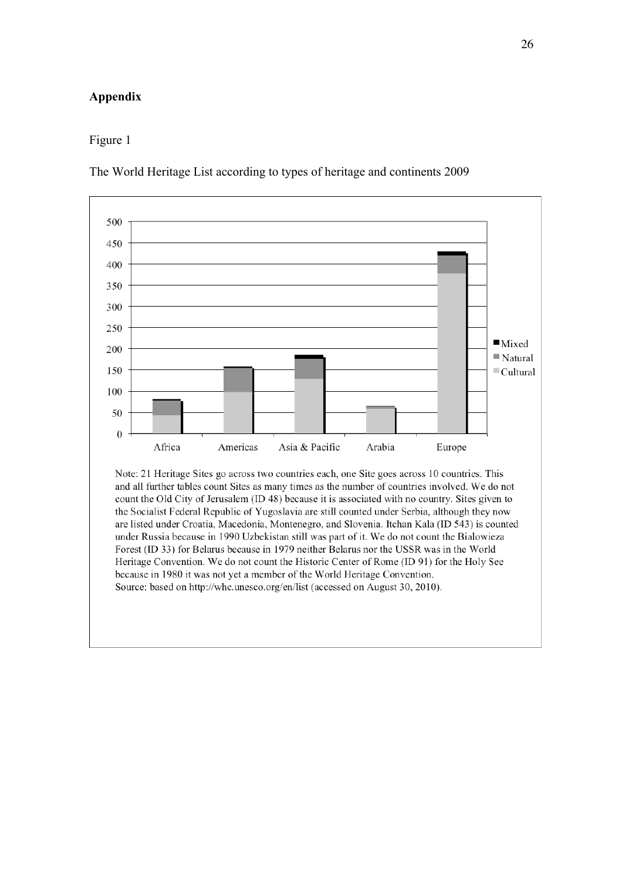#### **Appendix**

#### Figure 1

The World Heritage List according to types of heritage and continents 2009

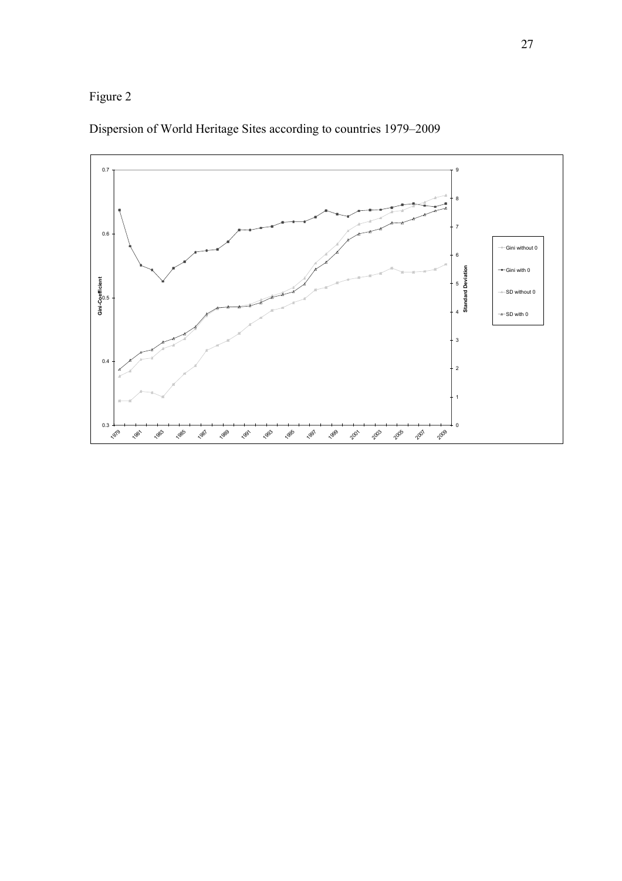## Figure 2



## Dispersion of World Heritage Sites according to countries 1979–2009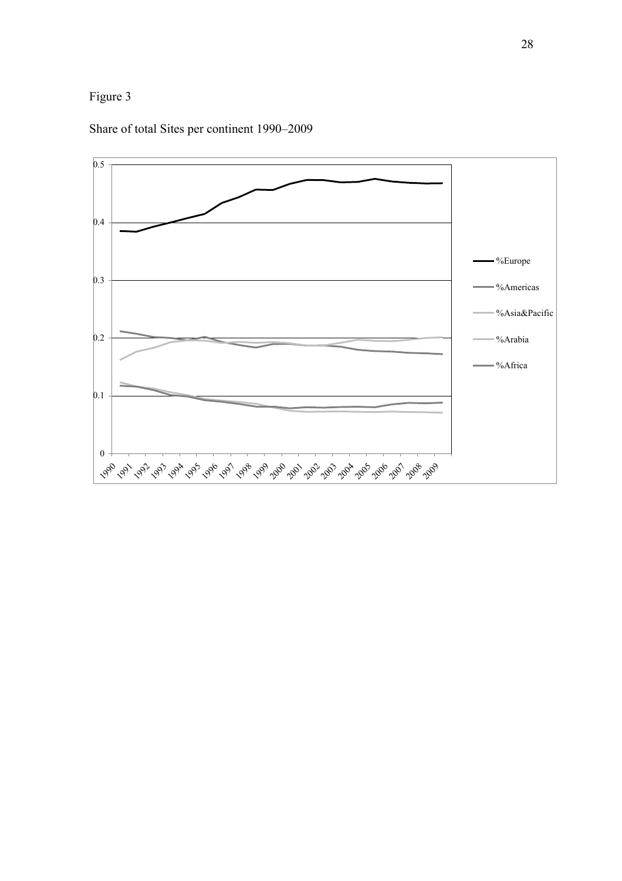

Share of total Sites per continent 1990–2009

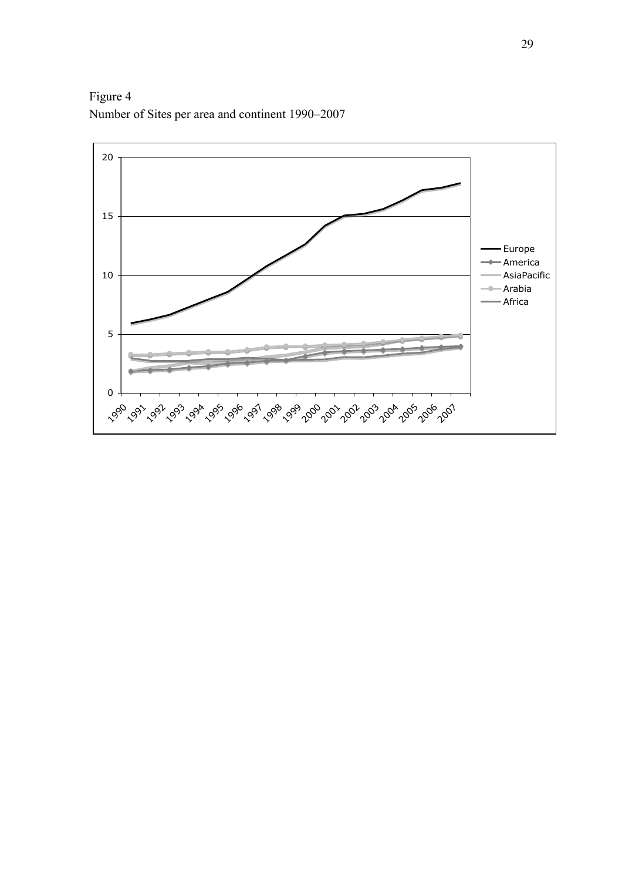Figure 4 Number of Sites per area and continent 1990–2007

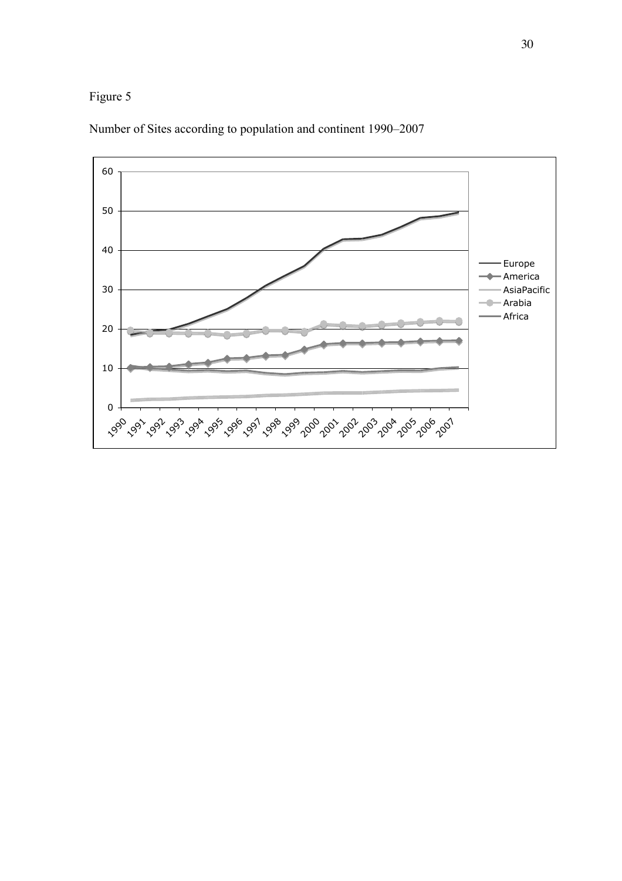## Figure 5



Number of Sites according to population and continent 1990–2007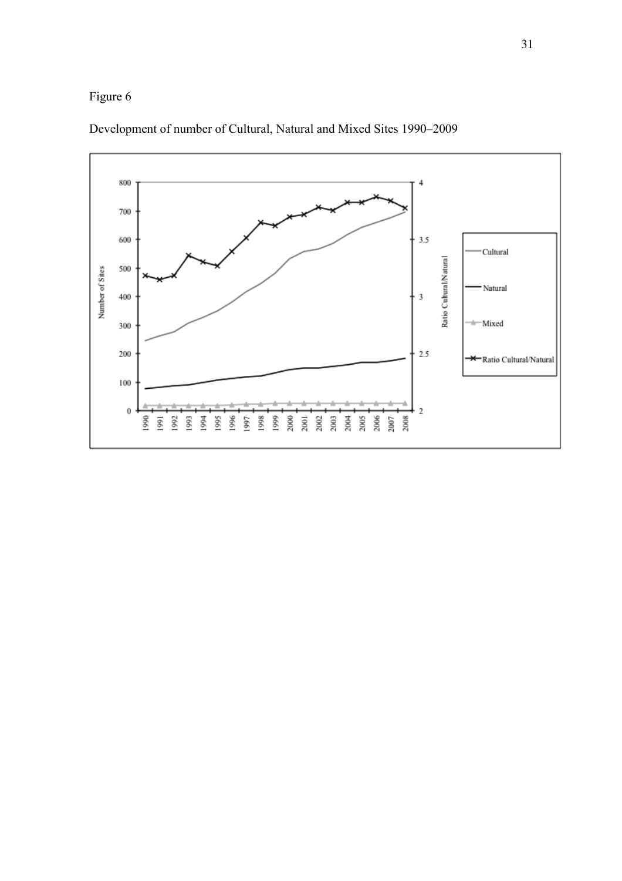



Development of number of Cultural, Natural and Mixed Sites 1990–2009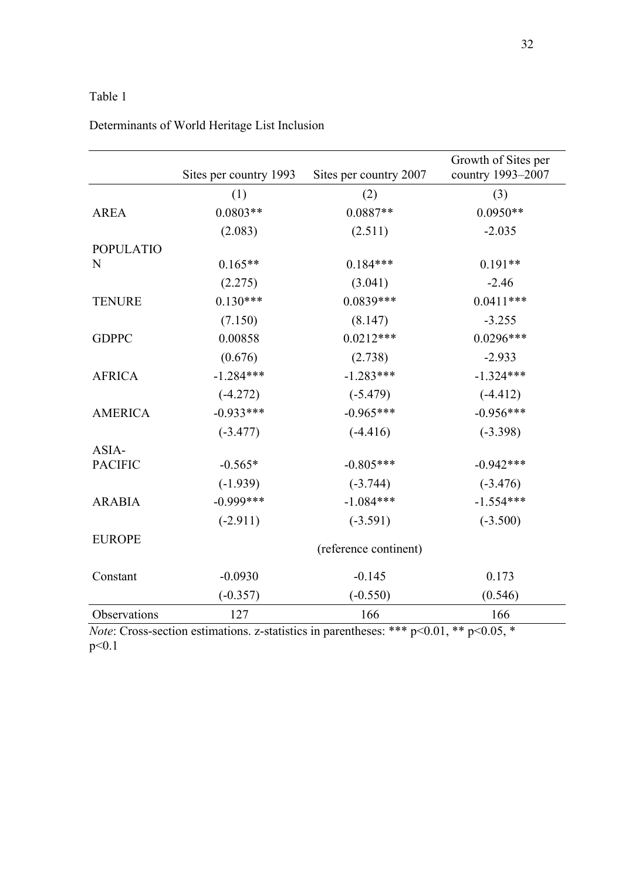## Table 1

|                  | Sites per country 1993 | Sites per country 2007 | Growth of Sites per<br>country 1993-2007 |  |  |
|------------------|------------------------|------------------------|------------------------------------------|--|--|
|                  | (1)                    | (2)                    | (3)                                      |  |  |
| <b>AREA</b>      | $0.0803**$             | $0.0887**$             | $0.0950**$                               |  |  |
|                  | (2.083)                | (2.511)                | $-2.035$                                 |  |  |
| <b>POPULATIO</b> |                        |                        |                                          |  |  |
| N                | $0.165**$              | $0.184***$             | $0.191**$                                |  |  |
|                  | (2.275)                | (3.041)                | $-2.46$                                  |  |  |
| <b>TENURE</b>    | $0.130***$             | $0.0839***$            | $0.0411***$                              |  |  |
|                  | (7.150)                | (8.147)                | $-3.255$                                 |  |  |
| <b>GDPPC</b>     | 0.00858                | $0.0212***$            | $0.0296***$                              |  |  |
|                  | (0.676)                | (2.738)                | $-2.933$                                 |  |  |
| <b>AFRICA</b>    | $-1.284***$            | $-1.283***$            | $-1.324***$                              |  |  |
|                  | $(-4.272)$             | $(-5.479)$             | $(-4.412)$                               |  |  |
| <b>AMERICA</b>   | $-0.933***$            | $-0.965***$            | $-0.956***$                              |  |  |
|                  | $(-3.477)$             | $(-4.416)$             | $(-3.398)$                               |  |  |
| ASIA-            |                        |                        |                                          |  |  |
| <b>PACIFIC</b>   | $-0.565*$              | $-0.805***$            | $-0.942***$                              |  |  |
|                  | $(-1.939)$             | $(-3.744)$             | $(-3.476)$                               |  |  |
| <b>ARABIA</b>    | $-0.999***$            | $-1.084***$            | $-1.554***$                              |  |  |
|                  | $(-2.911)$             | $(-3.591)$             | $(-3.500)$                               |  |  |
| <b>EUROPE</b>    | (reference continent)  |                        |                                          |  |  |
| Constant         | $-0.0930$              | $-0.145$               | 0.173                                    |  |  |
|                  | $(-0.357)$             | $(-0.550)$             | (0.546)                                  |  |  |
| Observations     | 127                    | 166                    | 166                                      |  |  |

## Determinants of World Heritage List Inclusion

*Note*: Cross-section estimations. z-statistics in parentheses: \*\*\* p<0.01, \*\* p<0.05, \* p<0.1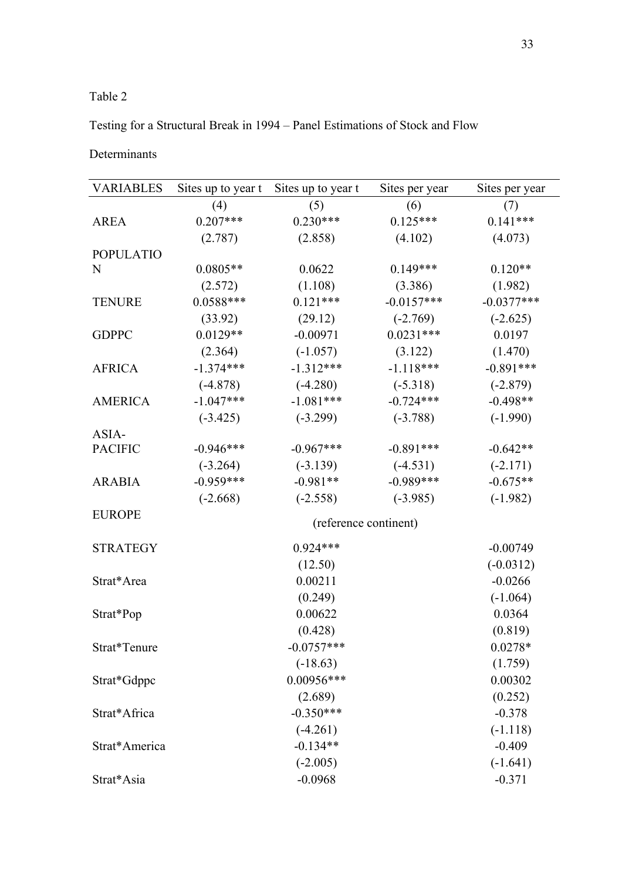### Table 2

Testing for a Structural Break in 1994 – Panel Estimations of Stock and Flow

Determinants

| <b>VARIABLES</b> | Sites up to year t    | Sites up to year t | Sites per year | Sites per year |  |  |
|------------------|-----------------------|--------------------|----------------|----------------|--|--|
|                  | (4)                   | (5)                | (6)            | (7)            |  |  |
| <b>AREA</b>      | $0.207***$            | $0.230***$         | $0.125***$     | $0.141***$     |  |  |
|                  | (2.787)               | (2.858)            | (4.102)        | (4.073)        |  |  |
| <b>POPULATIO</b> |                       |                    |                |                |  |  |
| N                | $0.0805**$            | 0.0622             | $0.149***$     | $0.120**$      |  |  |
|                  | (2.572)               | (1.108)            | (3.386)        | (1.982)        |  |  |
| <b>TENURE</b>    | $0.0588***$           | $0.121***$         | $-0.0157***$   | $-0.0377***$   |  |  |
|                  | (33.92)               | (29.12)            | $(-2.769)$     | $(-2.625)$     |  |  |
| <b>GDPPC</b>     | $0.0129**$            | $-0.00971$         | $0.0231***$    | 0.0197         |  |  |
|                  | (2.364)               | $(-1.057)$         | (3.122)        | (1.470)        |  |  |
| <b>AFRICA</b>    | $-1.374***$           | $-1.312***$        | $-1.118***$    | $-0.891***$    |  |  |
|                  | $(-4.878)$            | $(-4.280)$         | $(-5.318)$     | $(-2.879)$     |  |  |
| <b>AMERICA</b>   | $-1.047***$           | $-1.081***$        | $-0.724***$    | $-0.498**$     |  |  |
|                  | $(-3.425)$            | $(-3.299)$         | $(-3.788)$     | $(-1.990)$     |  |  |
| ASIA-            |                       |                    |                |                |  |  |
| <b>PACIFIC</b>   | $-0.946***$           | $-0.967***$        | $-0.891***$    | $-0.642**$     |  |  |
|                  | $(-3.264)$            | $(-3.139)$         | $(-4.531)$     | $(-2.171)$     |  |  |
| <b>ARABIA</b>    | $-0.959***$           | $-0.981**$         | $-0.989***$    | $-0.675**$     |  |  |
|                  | $(-2.668)$            | $(-2.558)$         | $(-3.985)$     | $(-1.982)$     |  |  |
| <b>EUROPE</b>    | (reference continent) |                    |                |                |  |  |
|                  |                       |                    |                |                |  |  |
| <b>STRATEGY</b>  |                       | $0.924***$         |                | $-0.00749$     |  |  |
|                  |                       | (12.50)            |                | $(-0.0312)$    |  |  |
| Strat*Area       |                       | 0.00211            |                | $-0.0266$      |  |  |
|                  |                       | (0.249)            |                | $(-1.064)$     |  |  |
| Strat*Pop        |                       | 0.00622            |                | 0.0364         |  |  |
|                  |                       | (0.428)            |                | (0.819)        |  |  |
| Strat*Tenure     |                       | $-0.0757***$       |                | $0.0278*$      |  |  |
|                  |                       | $(-18.63)$         |                | (1.759)        |  |  |
| Strat*Gdppc      |                       | $0.00956***$       |                | 0.00302        |  |  |
|                  |                       | (2.689)            |                | (0.252)        |  |  |
| Strat*Africa     |                       | $-0.350***$        |                | $-0.378$       |  |  |
|                  |                       | $(-4.261)$         |                | $(-1.118)$     |  |  |
| Strat*America    |                       | $-0.134**$         |                | $-0.409$       |  |  |
|                  |                       | $(-2.005)$         |                | $(-1.641)$     |  |  |
| Strat*Asia       |                       | $-0.0968$          |                | $-0.371$       |  |  |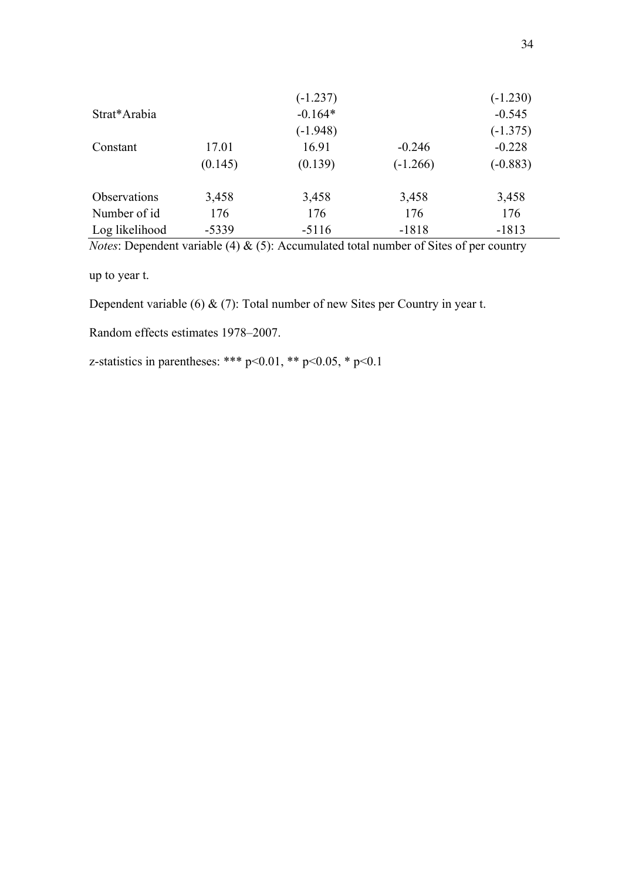|                     |         | $(-1.237)$ |            | $(-1.230)$ |
|---------------------|---------|------------|------------|------------|
| Strat*Arabia        |         | $-0.164*$  |            | $-0.545$   |
|                     |         | $(-1.948)$ |            | $(-1.375)$ |
| Constant            | 17.01   | 16.91      | $-0.246$   | $-0.228$   |
|                     | (0.145) | (0.139)    | $(-1.266)$ | $(-0.883)$ |
| <b>Observations</b> | 3,458   | 3,458      | 3,458      | 3,458      |
| Number of id        | 176     | 176        | 176        | 176        |
| Log likelihood      | $-5339$ | $-5116$    | $-1818$    | $-1813$    |

*Notes*: Dependent variable (4) & (5): Accumulated total number of Sites of per country

up to year t.

Dependent variable (6) & (7): Total number of new Sites per Country in year t.

Random effects estimates 1978–2007.

z-statistics in parentheses: \*\*\* p<0.01, \*\* p<0.05, \* p<0.1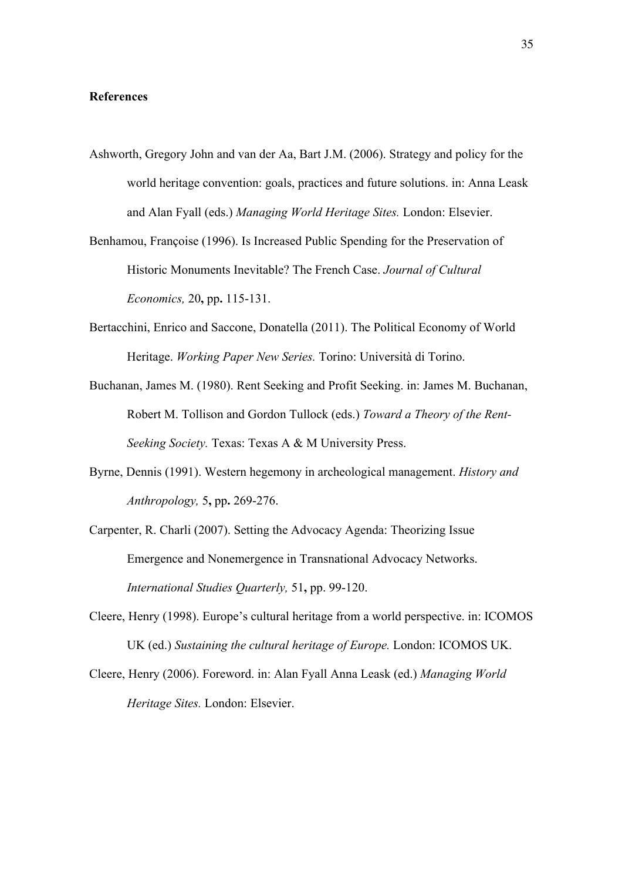#### **References**

- Ashworth, Gregory John and van der Aa, Bart J.M. (2006). Strategy and policy for the world heritage convention: goals, practices and future solutions. in: Anna Leask and Alan Fyall (eds.) *Managing World Heritage Sites.* London: Elsevier.
- Benhamou, Françoise (1996). Is Increased Public Spending for the Preservation of Historic Monuments Inevitable? The French Case. *Journal of Cultural Economics,* 20**,** pp**.** 115-131.
- Bertacchini, Enrico and Saccone, Donatella (2011). The Political Economy of World Heritage. *Working Paper New Series.* Torino: Università di Torino.
- Buchanan, James M. (1980). Rent Seeking and Profit Seeking. in: James M. Buchanan, Robert M. Tollison and Gordon Tullock (eds.) *Toward a Theory of the Rent-Seeking Society.* Texas: Texas A & M University Press.
- Byrne, Dennis (1991). Western hegemony in archeological management. *History and Anthropology,* 5**,** pp**.** 269-276.
- Carpenter, R. Charli (2007). Setting the Advocacy Agenda: Theorizing Issue Emergence and Nonemergence in Transnational Advocacy Networks. *International Studies Quarterly,* 51**,** pp. 99-120.
- Cleere, Henry (1998). Europe's cultural heritage from a world perspective. in: ICOMOS UK (ed.) *Sustaining the cultural heritage of Europe.* London: ICOMOS UK.
- Cleere, Henry (2006). Foreword. in: Alan Fyall Anna Leask (ed.) *Managing World Heritage Sites.* London: Elsevier.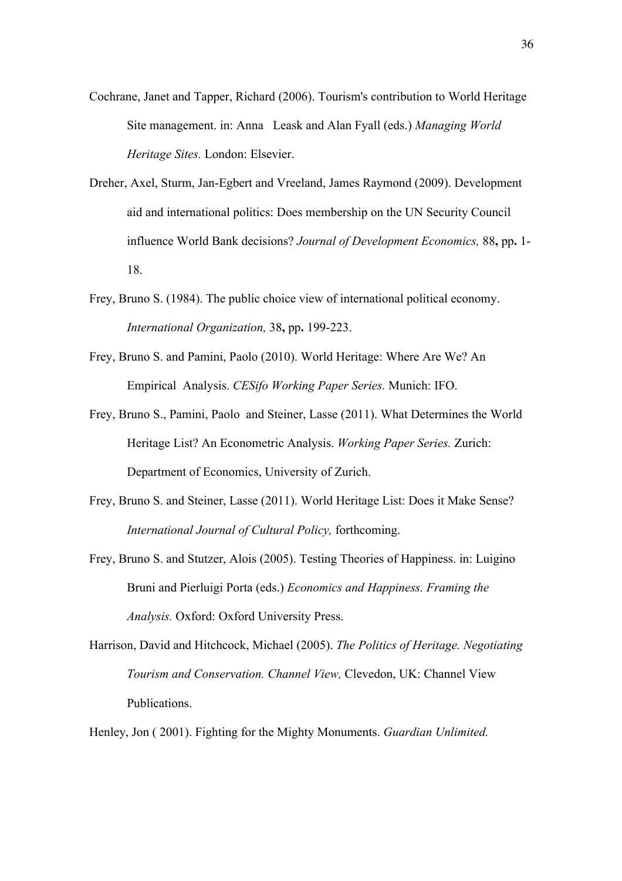- Cochrane, Janet and Tapper, Richard (2006). Tourism's contribution to World Heritage Site management. in: Anna Leask and Alan Fyall (eds.) *Managing World Heritage Sites.* London: Elsevier.
- Dreher, Axel, Sturm, Jan-Egbert and Vreeland, James Raymond (2009). Development aid and international politics: Does membership on the UN Security Council influence World Bank decisions? *Journal of Development Economics,* 88**,** pp**.** 1- 18.
- Frey, Bruno S. (1984). The public choice view of international political economy. *International Organization,* 38**,** pp**.** 199-223.
- Frey, Bruno S. and Pamini, Paolo (2010). World Heritage: Where Are We? An Empirical Analysis. *CESifo Working Paper Series.* Munich: IFO.
- Frey, Bruno S., Pamini, Paolo and Steiner, Lasse (2011). What Determines the World Heritage List? An Econometric Analysis. *Working Paper Series.* Zurich: Department of Economics, University of Zurich.
- Frey, Bruno S. and Steiner, Lasse (2011). World Heritage List: Does it Make Sense? *International Journal of Cultural Policy,* forthcoming.
- Frey, Bruno S. and Stutzer, Alois (2005). Testing Theories of Happiness. in: Luigino Bruni and Pierluigi Porta (eds.) *Economics and Happiness. Framing the Analysis.* Oxford: Oxford University Press.
- Harrison, David and Hitchcock, Michael (2005). *The Politics of Heritage. Negotiating Tourism and Conservation. Channel View,* Clevedon, UK: Channel View Publications.

Henley, Jon ( 2001). Fighting for the Mighty Monuments. *Guardian Unlimited.*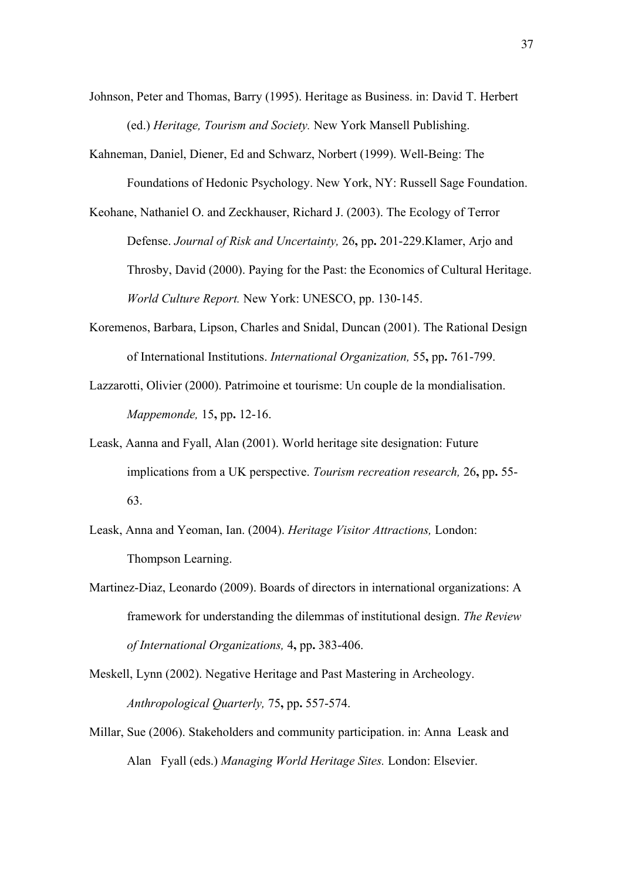- Johnson, Peter and Thomas, Barry (1995). Heritage as Business. in: David T. Herbert (ed.) *Heritage, Tourism and Society.* New York Mansell Publishing.
- Kahneman, Daniel, Diener, Ed and Schwarz, Norbert (1999). Well-Being: The Foundations of Hedonic Psychology. New York, NY: Russell Sage Foundation.
- Keohane, Nathaniel O. and Zeckhauser, Richard J. (2003). The Ecology of Terror Defense. *Journal of Risk and Uncertainty,* 26**,** pp**.** 201-229.Klamer, Arjo and Throsby, David (2000). Paying for the Past: the Economics of Cultural Heritage. *World Culture Report.* New York: UNESCO, pp. 130-145.
- Koremenos, Barbara, Lipson, Charles and Snidal, Duncan (2001). The Rational Design of International Institutions. *International Organization,* 55**,** pp**.** 761-799.
- Lazzarotti, Olivier (2000). Patrimoine et tourisme: Un couple de la mondialisation. *Mappemonde,* 15**,** pp**.** 12-16.
- Leask, Aanna and Fyall, Alan (2001). World heritage site designation: Future implications from a UK perspective. *Tourism recreation research,* 26**,** pp**.** 55- 63.
- Leask, Anna and Yeoman, Ian. (2004). *Heritage Visitor Attractions,* London: Thompson Learning.
- Martinez-Diaz, Leonardo (2009). Boards of directors in international organizations: A framework for understanding the dilemmas of institutional design. *The Review of International Organizations,* 4**,** pp**.** 383-406.
- Meskell, Lynn (2002). Negative Heritage and Past Mastering in Archeology. *Anthropological Quarterly,* 75**,** pp**.** 557-574.
- Millar, Sue (2006). Stakeholders and community participation. in: Anna Leask and Alan Fyall (eds.) *Managing World Heritage Sites.* London: Elsevier.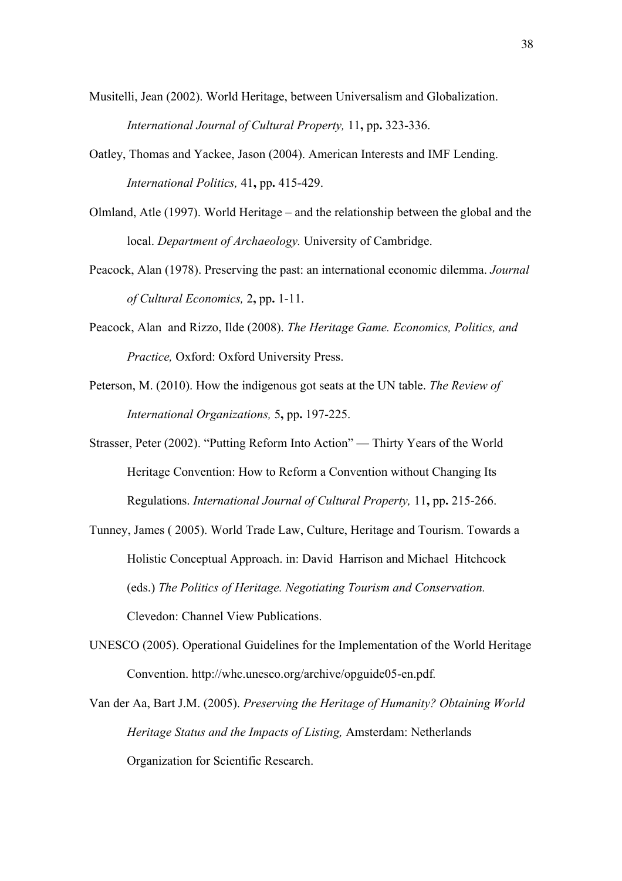- Musitelli, Jean (2002). World Heritage, between Universalism and Globalization. *International Journal of Cultural Property,* 11**,** pp**.** 323-336.
- Oatley, Thomas and Yackee, Jason (2004). American Interests and IMF Lending. *International Politics,* 41**,** pp**.** 415-429.
- Olmland, Atle (1997). World Heritage and the relationship between the global and the local. *Department of Archaeology.* University of Cambridge.
- Peacock, Alan (1978). Preserving the past: an international economic dilemma. *Journal of Cultural Economics,* 2**,** pp**.** 1-11.
- Peacock, Alan and Rizzo, Ilde (2008). *The Heritage Game. Economics, Politics, and Practice,* Oxford: Oxford University Press.
- Peterson, M. (2010). How the indigenous got seats at the UN table. *The Review of International Organizations,* 5**,** pp**.** 197-225.
- Strasser, Peter (2002). "Putting Reform Into Action" Thirty Years of the World Heritage Convention: How to Reform a Convention without Changing Its Regulations. *International Journal of Cultural Property,* 11**,** pp**.** 215-266.
- Tunney, James ( 2005). World Trade Law, Culture, Heritage and Tourism. Towards a Holistic Conceptual Approach. in: David Harrison and Michael Hitchcock (eds.) *The Politics of Heritage. Negotiating Tourism and Conservation.* Clevedon: Channel View Publications.
- UNESCO (2005). Operational Guidelines for the Implementation of the World Heritage Convention. http://whc.unesco.org/archive/opguide05-en.pdf*.*
- Van der Aa, Bart J.M. (2005). *Preserving the Heritage of Humanity? Obtaining World Heritage Status and the Impacts of Listing,* Amsterdam: Netherlands Organization for Scientific Research.